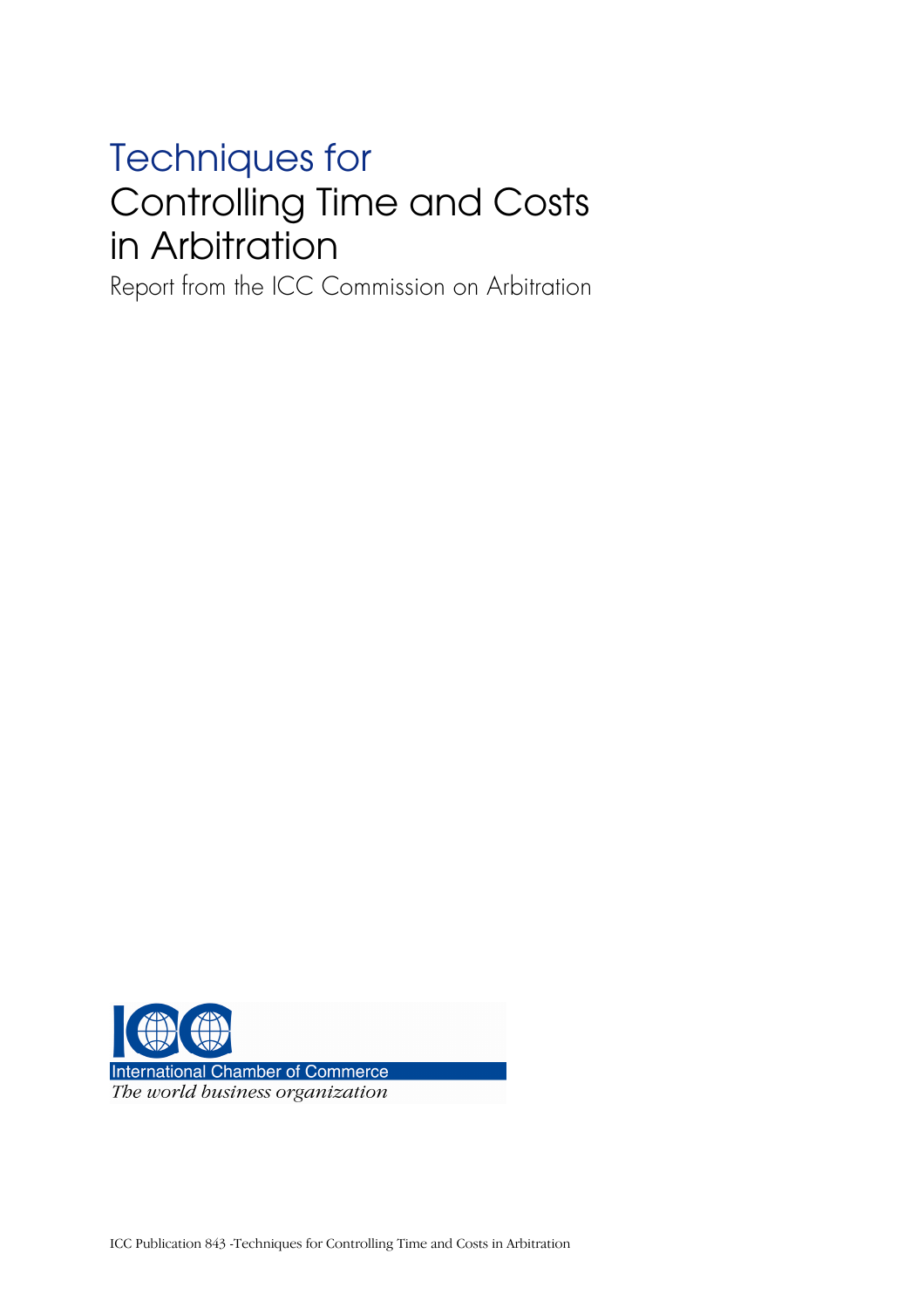## Techniques for Controlling Time and Costs in Arbitration

Report from the ICC Commission on Arbitration

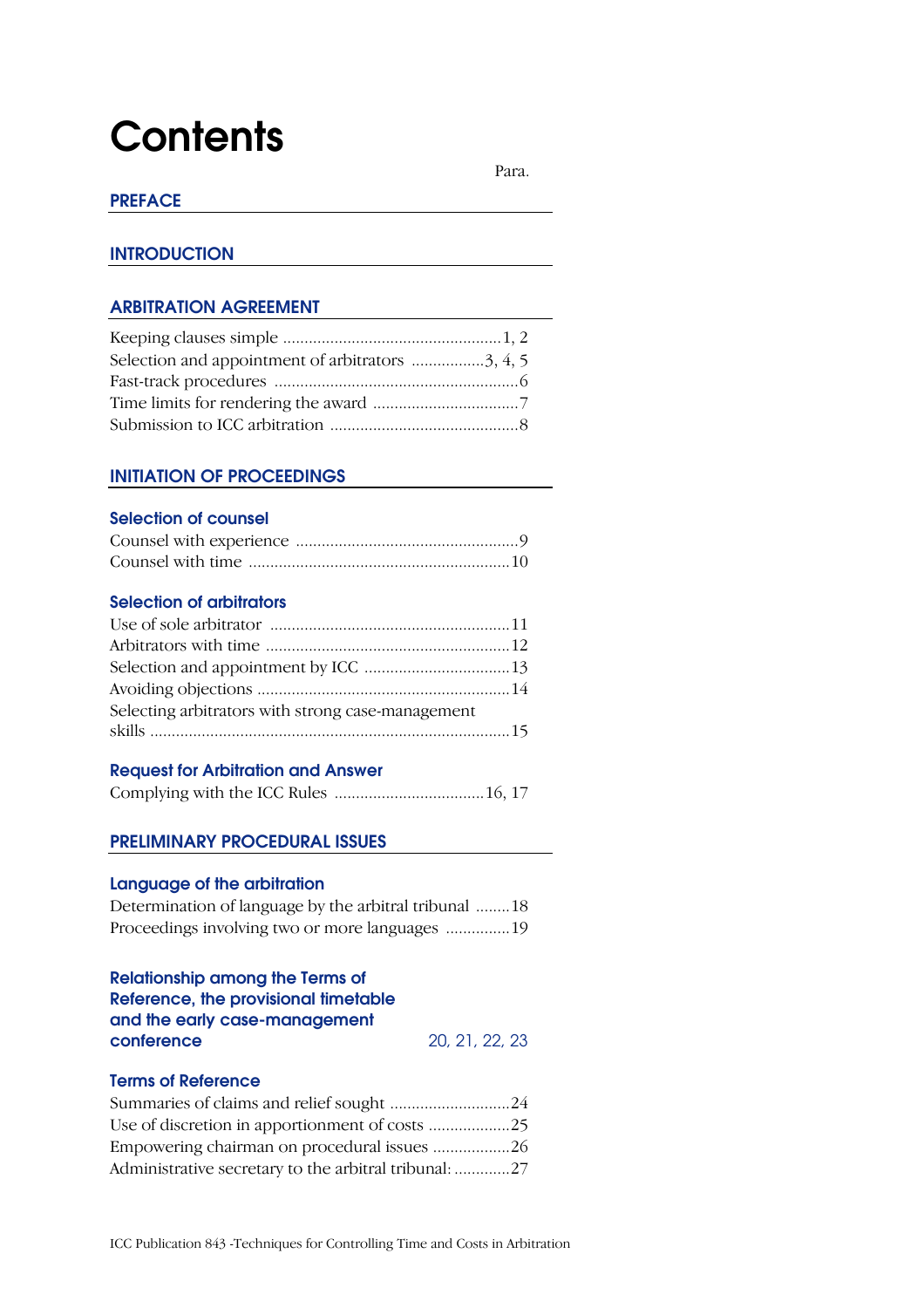# **Contents**

## PREFACE

Para.

## **INTRODUCTION**

## ARBITRATION AGREEMENT

| Selection and appointment of arbitrators 3, 4, 5 |
|--------------------------------------------------|
|                                                  |
|                                                  |
|                                                  |

### INITIATION OF PROCEEDINGS

#### Selection of counsel

### Selection of arbitrators

| Selecting arbitrators with strong case-management |  |
|---------------------------------------------------|--|
|                                                   |  |

#### Request for Arbitration and Answer

|--|--|

### PRELIMINARY PROCEDURAL ISSUES

#### Language of the arbitration

| Determination of language by the arbitral tribunal 18 |
|-------------------------------------------------------|
| Proceedings involving two or more languages 19        |

## Relationship among the Terms of Reference, the provisional timetable

and the early case-management **conference** 20, 21, 22, 23

## Terms of Reference

| Summaries of claims and relief sought 24              |  |
|-------------------------------------------------------|--|
| Use of discretion in apportionment of costs 25        |  |
| Empowering chairman on procedural issues 26           |  |
| Administrative secretary to the arbitral tribunal: 27 |  |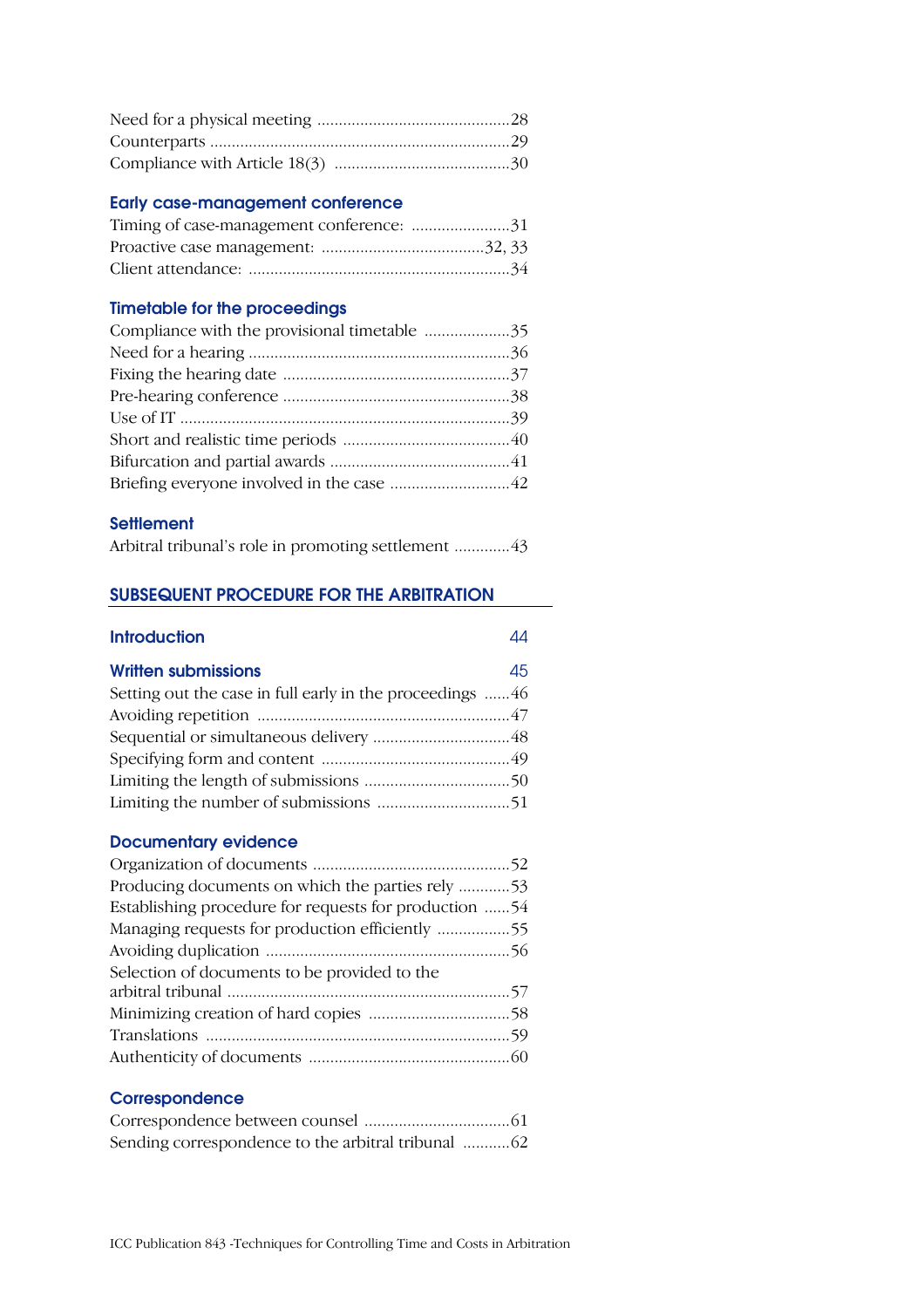### Early case-management conference

| Timing of case-management conference: 31 |  |
|------------------------------------------|--|
|                                          |  |
|                                          |  |

## Timetable for the proceedings

| Compliance with the provisional timetable 35 |  |
|----------------------------------------------|--|
|                                              |  |
|                                              |  |
|                                              |  |
|                                              |  |
|                                              |  |
|                                              |  |
|                                              |  |

### **Settlement**

| Arbitral tribunal's role in promoting settlement 43 |  |
|-----------------------------------------------------|--|
|-----------------------------------------------------|--|

## SUBSEQUENT PROCEDURE FOR THE ARBITRATION

#### Introduction 44

| <b>Written submissions</b>                               | 45 |
|----------------------------------------------------------|----|
| Setting out the case in full early in the proceedings 46 |    |
|                                                          |    |
|                                                          |    |
|                                                          |    |
|                                                          |    |
|                                                          |    |

### Documentary evidence

| Producing documents on which the parties rely 53      |  |
|-------------------------------------------------------|--|
| Establishing procedure for requests for production 54 |  |
| Managing requests for production efficiently 55       |  |
|                                                       |  |
| Selection of documents to be provided to the          |  |
|                                                       |  |
|                                                       |  |
|                                                       |  |
|                                                       |  |

## **Correspondence**

| Sending correspondence to the arbitral tribunal 62 |  |
|----------------------------------------------------|--|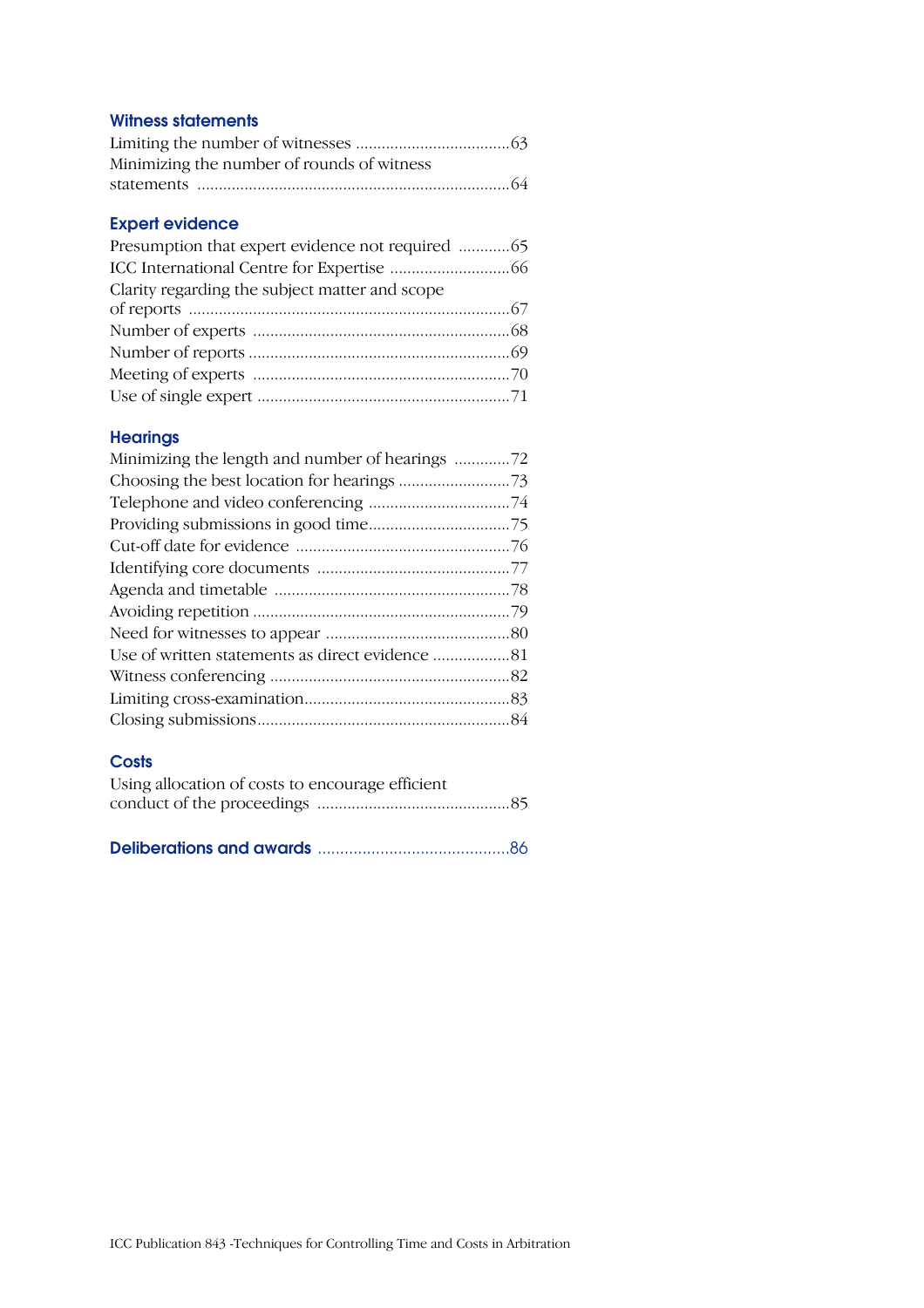## Witness statements

| Minimizing the number of rounds of witness |
|--------------------------------------------|
|                                            |

## Expert evidence

| Presumption that expert evidence not required 65 |  |
|--------------------------------------------------|--|
|                                                  |  |
| Clarity regarding the subject matter and scope   |  |
|                                                  |  |
|                                                  |  |
|                                                  |  |
|                                                  |  |
|                                                  |  |

## **Hearings**

| Minimizing the length and number of hearings 72 |  |
|-------------------------------------------------|--|
|                                                 |  |
|                                                 |  |
|                                                 |  |
|                                                 |  |
|                                                 |  |
|                                                 |  |
|                                                 |  |
|                                                 |  |
| Use of written statements as direct evidence 81 |  |
|                                                 |  |
|                                                 |  |
|                                                 |  |

## **Costs**

| Using allocation of costs to encourage efficient |  |
|--------------------------------------------------|--|
|                                                  |  |

|--|--|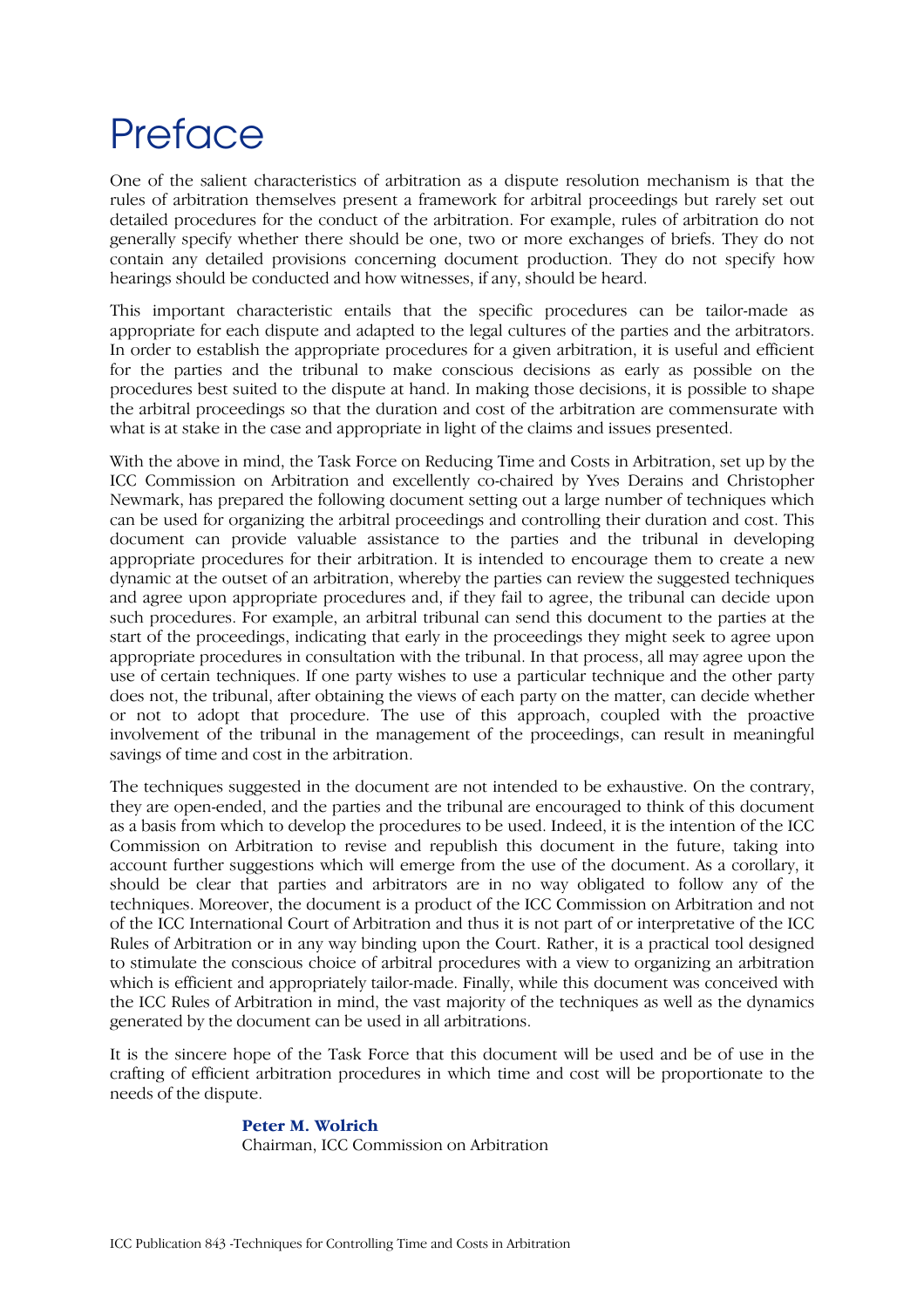## **Preface**

One of the salient characteristics of arbitration as a dispute resolution mechanism is that the rules of arbitration themselves present a framework for arbitral proceedings but rarely set out detailed procedures for the conduct of the arbitration. For example, rules of arbitration do not generally specify whether there should be one, two or more exchanges of briefs. They do not contain any detailed provisions concerning document production. They do not specify how hearings should be conducted and how witnesses, if any, should be heard.

This important characteristic entails that the specific procedures can be tailor-made as appropriate for each dispute and adapted to the legal cultures of the parties and the arbitrators. In order to establish the appropriate procedures for a given arbitration, it is useful and efficient for the parties and the tribunal to make conscious decisions as early as possible on the procedures best suited to the dispute at hand. In making those decisions, it is possible to shape the arbitral proceedings so that the duration and cost of the arbitration are commensurate with what is at stake in the case and appropriate in light of the claims and issues presented.

With the above in mind, the Task Force on Reducing Time and Costs in Arbitration, set up by the ICC Commission on Arbitration and excellently co-chaired by Yves Derains and Christopher Newmark, has prepared the following document setting out a large number of techniques which can be used for organizing the arbitral proceedings and controlling their duration and cost. This document can provide valuable assistance to the parties and the tribunal in developing appropriate procedures for their arbitration. It is intended to encourage them to create a new dynamic at the outset of an arbitration, whereby the parties can review the suggested techniques and agree upon appropriate procedures and, if they fail to agree, the tribunal can decide upon such procedures. For example, an arbitral tribunal can send this document to the parties at the start of the proceedings, indicating that early in the proceedings they might seek to agree upon appropriate procedures in consultation with the tribunal. In that process, all may agree upon the use of certain techniques. If one party wishes to use a particular technique and the other party does not, the tribunal, after obtaining the views of each party on the matter, can decide whether or not to adopt that procedure. The use of this approach, coupled with the proactive involvement of the tribunal in the management of the proceedings, can result in meaningful savings of time and cost in the arbitration.

The techniques suggested in the document are not intended to be exhaustive. On the contrary, they are open-ended, and the parties and the tribunal are encouraged to think of this document as a basis from which to develop the procedures to be used. Indeed, it is the intention of the ICC Commission on Arbitration to revise and republish this document in the future, taking into account further suggestions which will emerge from the use of the document. As a corollary, it should be clear that parties and arbitrators are in no way obligated to follow any of the techniques. Moreover, the document is a product of the ICC Commission on Arbitration and not of the ICC International Court of Arbitration and thus it is not part of or interpretative of the ICC Rules of Arbitration or in any way binding upon the Court. Rather, it is a practical tool designed to stimulate the conscious choice of arbitral procedures with a view to organizing an arbitration which is efficient and appropriately tailor-made. Finally, while this document was conceived with the ICC Rules of Arbitration in mind, the vast majority of the techniques as well as the dynamics generated by the document can be used in all arbitrations.

It is the sincere hope of the Task Force that this document will be used and be of use in the crafting of efficient arbitration procedures in which time and cost will be proportionate to the needs of the dispute.

#### Peter M. Wolrich

Chairman, ICC Commission on Arbitration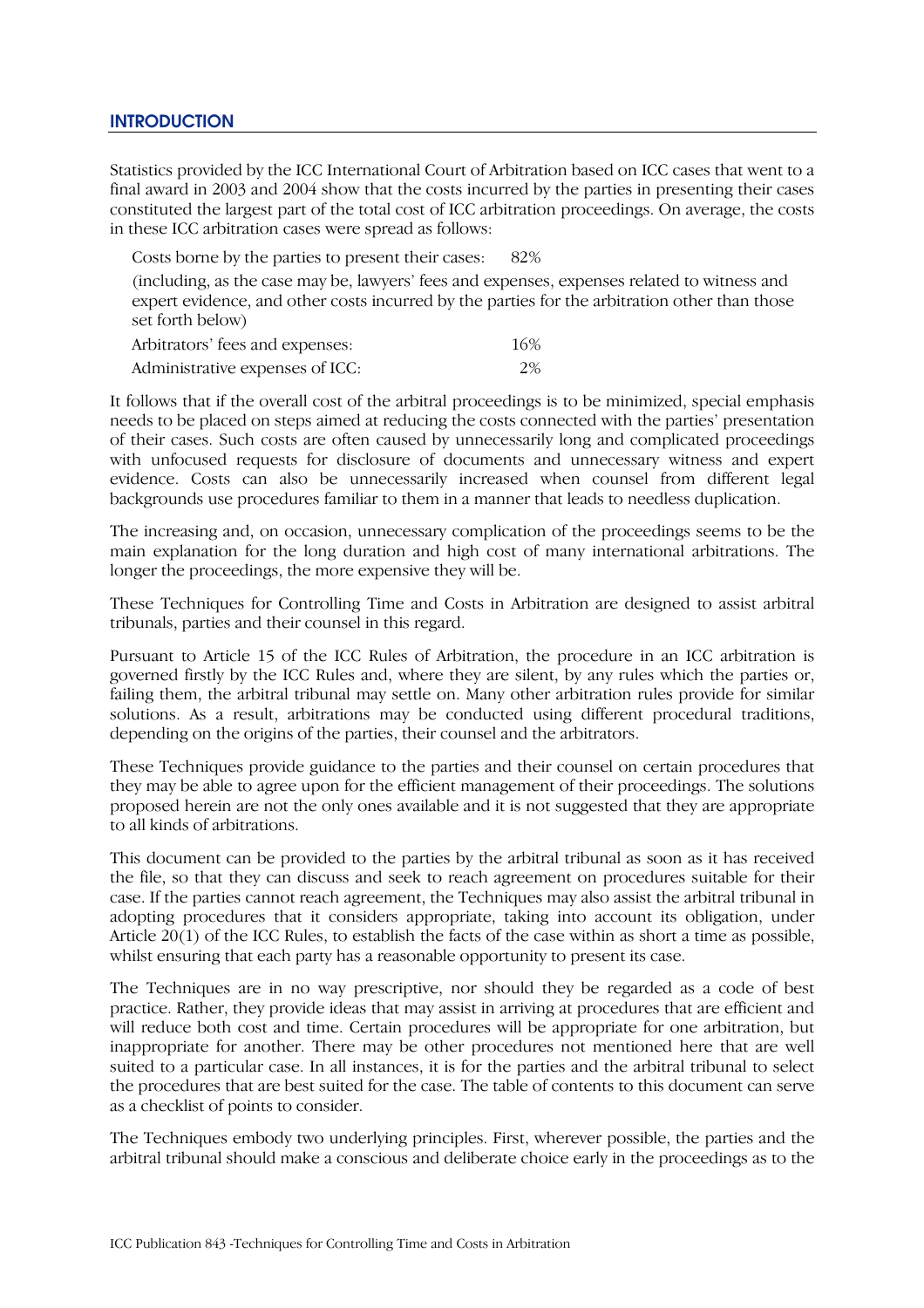## **INTRODUCTION**

Statistics provided by the ICC International Court of Arbitration based on ICC cases that went to a final award in 2003 and 2004 show that the costs incurred by the parties in presenting their cases constituted the largest part of the total cost of ICC arbitration proceedings. On average, the costs in these ICC arbitration cases were spread as follows:

| Costs borne by the parties to present their cases: | 82%                                                                                                                                                                                          |
|----------------------------------------------------|----------------------------------------------------------------------------------------------------------------------------------------------------------------------------------------------|
| set forth below)                                   | (including, as the case may be, lawyers' fees and expenses, expenses related to witness and<br>expert evidence, and other costs incurred by the parties for the arbitration other than those |
| Arbitrators' fees and expenses:                    | 16%                                                                                                                                                                                          |
| Administrative expenses of ICC:                    | 2%                                                                                                                                                                                           |

It follows that if the overall cost of the arbitral proceedings is to be minimized, special emphasis needs to be placed on steps aimed at reducing the costs connected with the parties' presentation of their cases. Such costs are often caused by unnecessarily long and complicated proceedings with unfocused requests for disclosure of documents and unnecessary witness and expert evidence. Costs can also be unnecessarily increased when counsel from different legal backgrounds use procedures familiar to them in a manner that leads to needless duplication.

The increasing and, on occasion, unnecessary complication of the proceedings seems to be the main explanation for the long duration and high cost of many international arbitrations. The longer the proceedings, the more expensive they will be.

These Techniques for Controlling Time and Costs in Arbitration are designed to assist arbitral tribunals, parties and their counsel in this regard.

Pursuant to Article 15 of the ICC Rules of Arbitration, the procedure in an ICC arbitration is governed firstly by the ICC Rules and, where they are silent, by any rules which the parties or, failing them, the arbitral tribunal may settle on. Many other arbitration rules provide for similar solutions. As a result, arbitrations may be conducted using different procedural traditions, depending on the origins of the parties, their counsel and the arbitrators.

These Techniques provide guidance to the parties and their counsel on certain procedures that they may be able to agree upon for the efficient management of their proceedings. The solutions proposed herein are not the only ones available and it is not suggested that they are appropriate to all kinds of arbitrations.

This document can be provided to the parties by the arbitral tribunal as soon as it has received the file, so that they can discuss and seek to reach agreement on procedures suitable for their case. If the parties cannot reach agreement, the Techniques may also assist the arbitral tribunal in adopting procedures that it considers appropriate, taking into account its obligation, under Article 20(1) of the ICC Rules, to establish the facts of the case within as short a time as possible, whilst ensuring that each party has a reasonable opportunity to present its case.

The Techniques are in no way prescriptive, nor should they be regarded as a code of best practice. Rather, they provide ideas that may assist in arriving at procedures that are efficient and will reduce both cost and time. Certain procedures will be appropriate for one arbitration, but inappropriate for another. There may be other procedures not mentioned here that are well suited to a particular case. In all instances, it is for the parties and the arbitral tribunal to select the procedures that are best suited for the case. The table of contents to this document can serve as a checklist of points to consider.

The Techniques embody two underlying principles. First, wherever possible, the parties and the arbitral tribunal should make a conscious and deliberate choice early in the proceedings as to the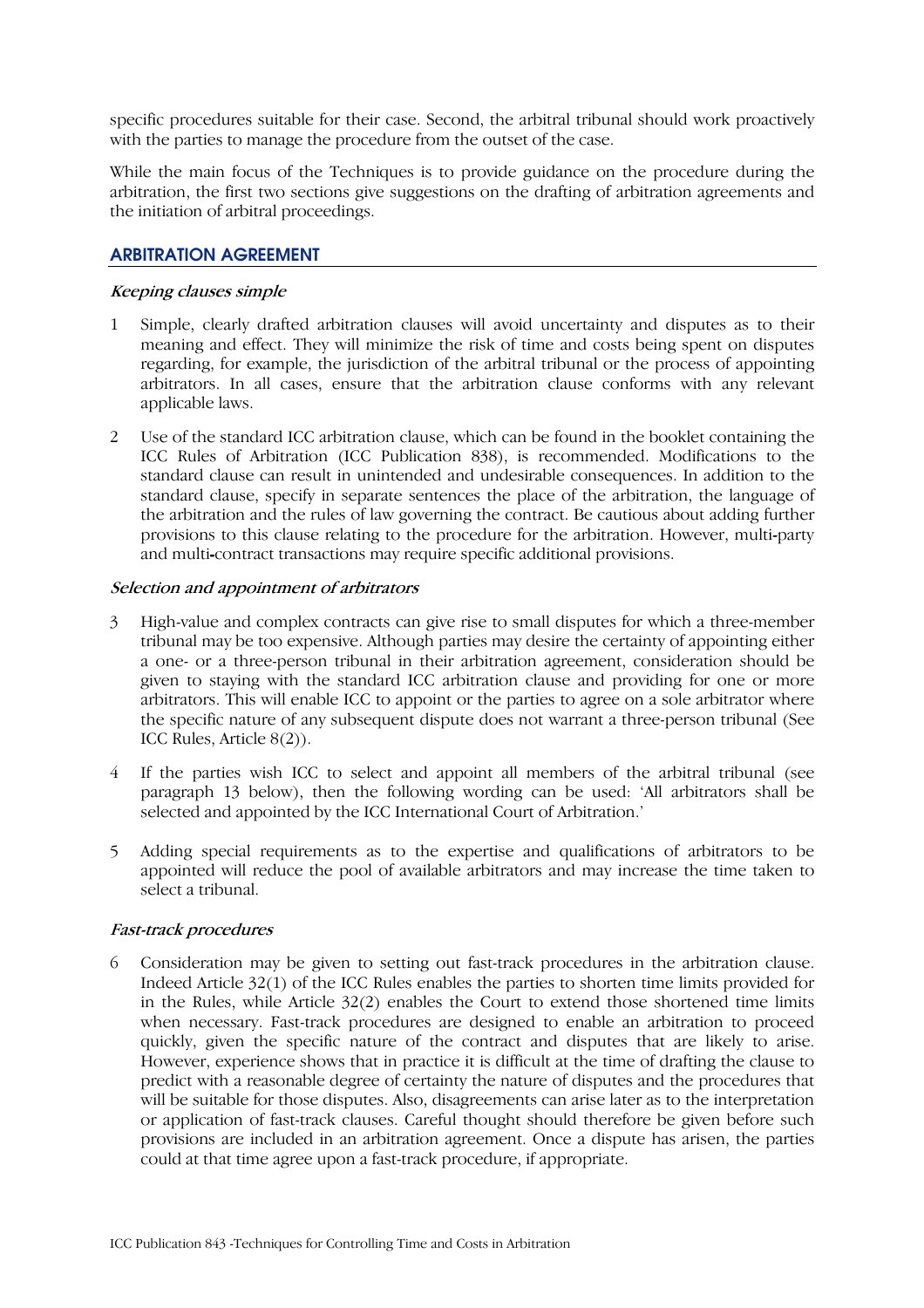specific procedures suitable for their case. Second, the arbitral tribunal should work proactively with the parties to manage the procedure from the outset of the case.

While the main focus of the Techniques is to provide guidance on the procedure during the arbitration, the first two sections give suggestions on the drafting of arbitration agreements and the initiation of arbitral proceedings.

#### ARBITRATION AGREEMENT

#### Keeping clauses simple

- 1 Simple, clearly drafted arbitration clauses will avoid uncertainty and disputes as to their meaning and effect. They will minimize the risk of time and costs being spent on disputes regarding, for example, the jurisdiction of the arbitral tribunal or the process of appointing arbitrators. In all cases, ensure that the arbitration clause conforms with any relevant applicable laws.
- 2 Use of the standard ICC arbitration clause, which can be found in the booklet containing the ICC Rules of Arbitration (ICC Publication 838), is recommended. Modifications to the standard clause can result in unintended and undesirable consequences. In addition to the standard clause, specify in separate sentences the place of the arbitration, the language of the arbitration and the rules of law governing the contract. Be cautious about adding further provisions to this clause relating to the procedure for the arbitration. However, multi-party and multi-contract transactions may require specific additional provisions.

#### Selection and appointment of arbitrators

- 3 High-value and complex contracts can give rise to small disputes for which a three-member tribunal may be too expensive. Although parties may desire the certainty of appointing either a one- or a three-person tribunal in their arbitration agreement, consideration should be given to staying with the standard ICC arbitration clause and providing for one or more arbitrators. This will enable ICC to appoint or the parties to agree on a sole arbitrator where the specific nature of any subsequent dispute does not warrant a three-person tribunal (See ICC Rules, Article 8(2)).
- 4 If the parties wish ICC to select and appoint all members of the arbitral tribunal (see paragraph 13 below), then the following wording can be used: 'All arbitrators shall be selected and appointed by the ICC International Court of Arbitration.'
- 5 Adding special requirements as to the expertise and qualifications of arbitrators to be appointed will reduce the pool of available arbitrators and may increase the time taken to select a tribunal.

#### Fast-track procedures

6 Consideration may be given to setting out fast-track procedures in the arbitration clause. Indeed Article 32(1) of the ICC Rules enables the parties to shorten time limits provided for in the Rules, while Article  $32(2)$  enables the Court to extend those shortened time limits when necessary. Fast-track procedures are designed to enable an arbitration to proceed quickly, given the specific nature of the contract and disputes that are likely to arise. However, experience shows that in practice it is difficult at the time of drafting the clause to predict with a reasonable degree of certainty the nature of disputes and the procedures that will be suitable for those disputes. Also, disagreements can arise later as to the interpretation or application of fast-track clauses. Careful thought should therefore be given before such provisions are included in an arbitration agreement. Once a dispute has arisen, the parties could at that time agree upon a fast-track procedure, if appropriate.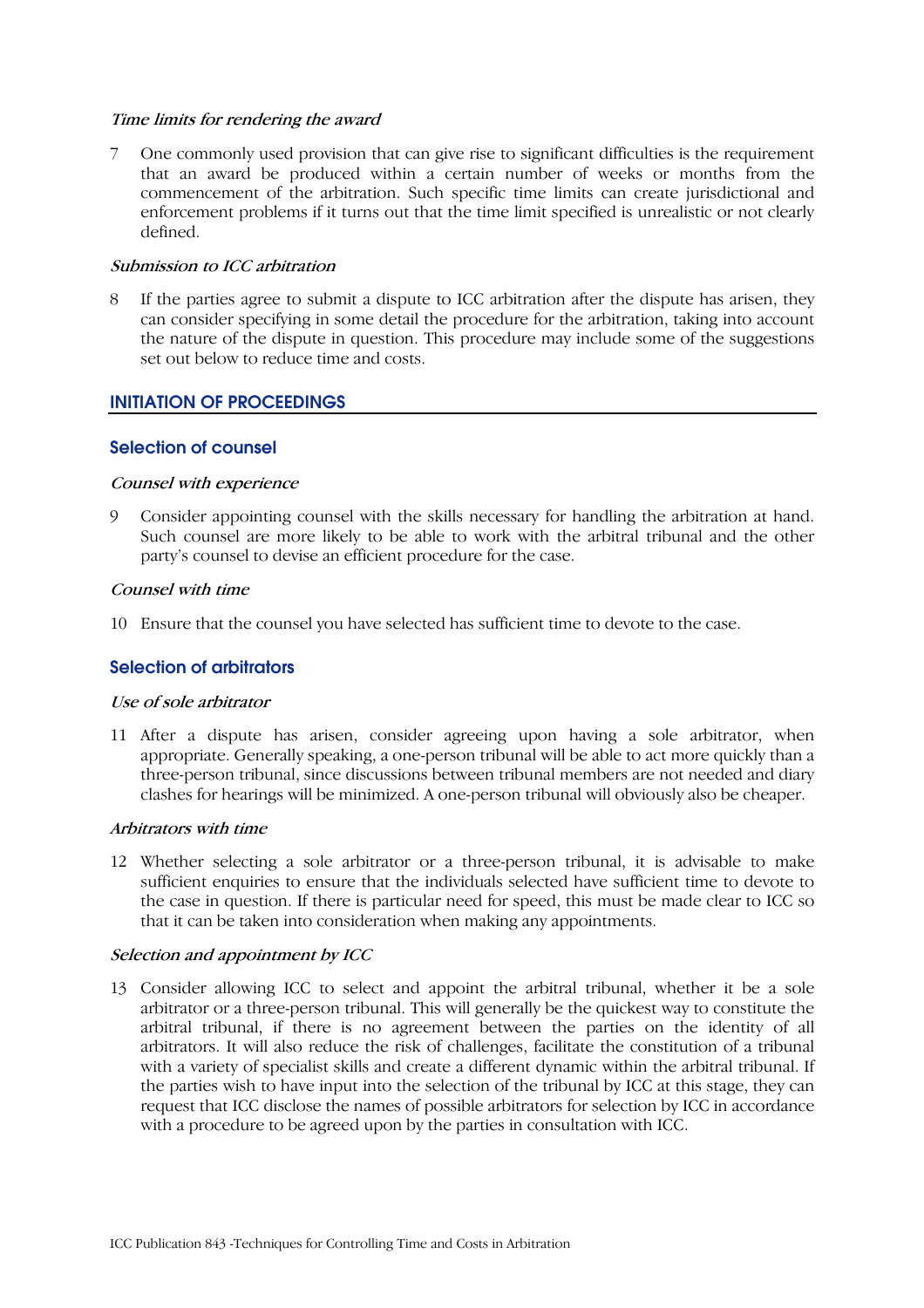#### Time limits for rendering the award

7 One commonly used provision that can give rise to significant difficulties is the requirement that an award be produced within a certain number of weeks or months from the commencement of the arbitration. Such specific time limits can create jurisdictional and enforcement problems if it turns out that the time limit specified is unrealistic or not clearly defined.

#### Submission to ICC arbitration

If the parties agree to submit a dispute to ICC arbitration after the dispute has arisen, they can consider specifying in some detail the procedure for the arbitration, taking into account the nature of the dispute in question. This procedure may include some of the suggestions set out below to reduce time and costs.

#### INITIATION OF PROCEEDINGS

### Selection of counsel

#### Counsel with experience

9 Consider appointing counsel with the skills necessary for handling the arbitration at hand. Such counsel are more likely to be able to work with the arbitral tribunal and the other party's counsel to devise an efficient procedure for the case.

#### Counsel with time

10 Ensure that the counsel you have selected has sufficient time to devote to the case.

#### Selection of arbitrators

#### Use of sole arbitrator

11 After a dispute has arisen, consider agreeing upon having a sole arbitrator, when appropriate. Generally speaking, a one-person tribunal will be able to act more quickly than a three-person tribunal, since discussions between tribunal members are not needed and diary clashes for hearings will be minimized. A one-person tribunal will obviously also be cheaper.

#### Arbitrators with time

12 Whether selecting a sole arbitrator or a three-person tribunal, it is advisable to make sufficient enquiries to ensure that the individuals selected have sufficient time to devote to the case in question. If there is particular need for speed, this must be made clear to ICC so that it can be taken into consideration when making any appointments.

#### Selection and appointment by ICC

13 Consider allowing ICC to select and appoint the arbitral tribunal, whether it be a sole arbitrator or a three-person tribunal. This will generally be the quickest way to constitute the arbitral tribunal, if there is no agreement between the parties on the identity of all arbitrators. It will also reduce the risk of challenges, facilitate the constitution of a tribunal with a variety of specialist skills and create a different dynamic within the arbitral tribunal. If the parties wish to have input into the selection of the tribunal by ICC at this stage, they can request that ICC disclose the names of possible arbitrators for selection by ICC in accordance with a procedure to be agreed upon by the parties in consultation with ICC.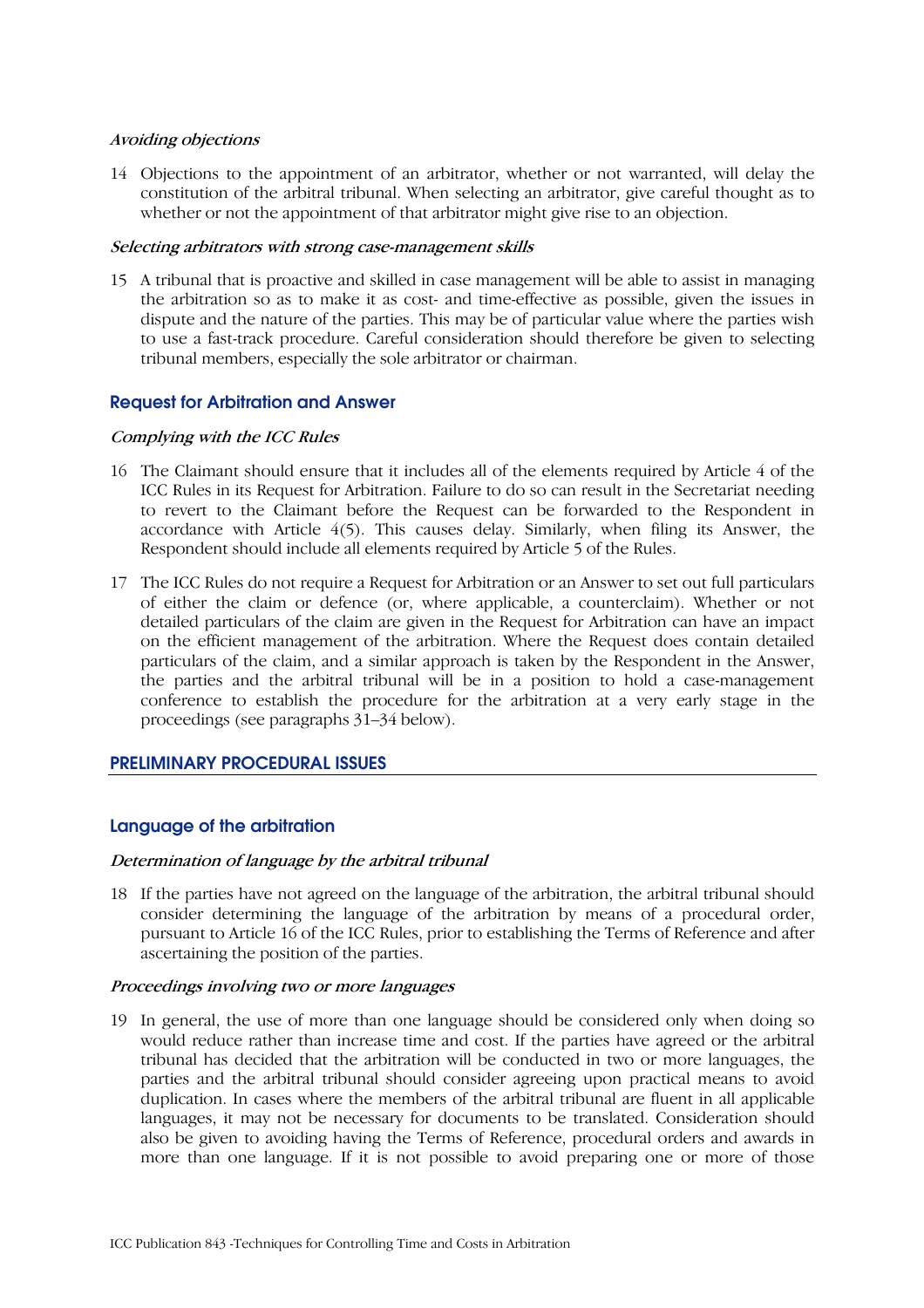#### Avoiding objections

14 Objections to the appointment of an arbitrator, whether or not warranted, will delay the constitution of the arbitral tribunal. When selecting an arbitrator, give careful thought as to whether or not the appointment of that arbitrator might give rise to an objection.

#### Selecting arbitrators with strong case-management skills

15 A tribunal that is proactive and skilled in case management will be able to assist in managing the arbitration so as to make it as cost- and time-effective as possible, given the issues in dispute and the nature of the parties. This may be of particular value where the parties wish to use a fast-track procedure. Careful consideration should therefore be given to selecting tribunal members, especially the sole arbitrator or chairman.

### Request for Arbitration and Answer

#### Complying with the ICC Rules

- 16 The Claimant should ensure that it includes all of the elements required by Article 4 of the ICC Rules in its Request for Arbitration. Failure to do so can result in the Secretariat needing to revert to the Claimant before the Request can be forwarded to the Respondent in accordance with Article 4(5). This causes delay. Similarly, when filing its Answer, the Respondent should include all elements required by Article 5 of the Rules.
- 17 The ICC Rules do not require a Request for Arbitration or an Answer to set out full particulars of either the claim or defence (or, where applicable, a counterclaim). Whether or not detailed particulars of the claim are given in the Request for Arbitration can have an impact on the efficient management of the arbitration. Where the Request does contain detailed particulars of the claim, and a similar approach is taken by the Respondent in the Answer, the parties and the arbitral tribunal will be in a position to hold a case-management conference to establish the procedure for the arbitration at a very early stage in the proceedings (see paragraphs 31–34 below).

#### PRELIMINARY PROCEDURAL ISSUES

#### Language of the arbitration

#### Determination of language by the arbitral tribunal

18 If the parties have not agreed on the language of the arbitration, the arbitral tribunal should consider determining the language of the arbitration by means of a procedural order, pursuant to Article 16 of the ICC Rules, prior to establishing the Terms of Reference and after ascertaining the position of the parties.

#### Proceedings involving two or more languages

19 In general, the use of more than one language should be considered only when doing so would reduce rather than increase time and cost. If the parties have agreed or the arbitral tribunal has decided that the arbitration will be conducted in two or more languages, the parties and the arbitral tribunal should consider agreeing upon practical means to avoid duplication. In cases where the members of the arbitral tribunal are fluent in all applicable languages, it may not be necessary for documents to be translated. Consideration should also be given to avoiding having the Terms of Reference, procedural orders and awards in more than one language. If it is not possible to avoid preparing one or more of those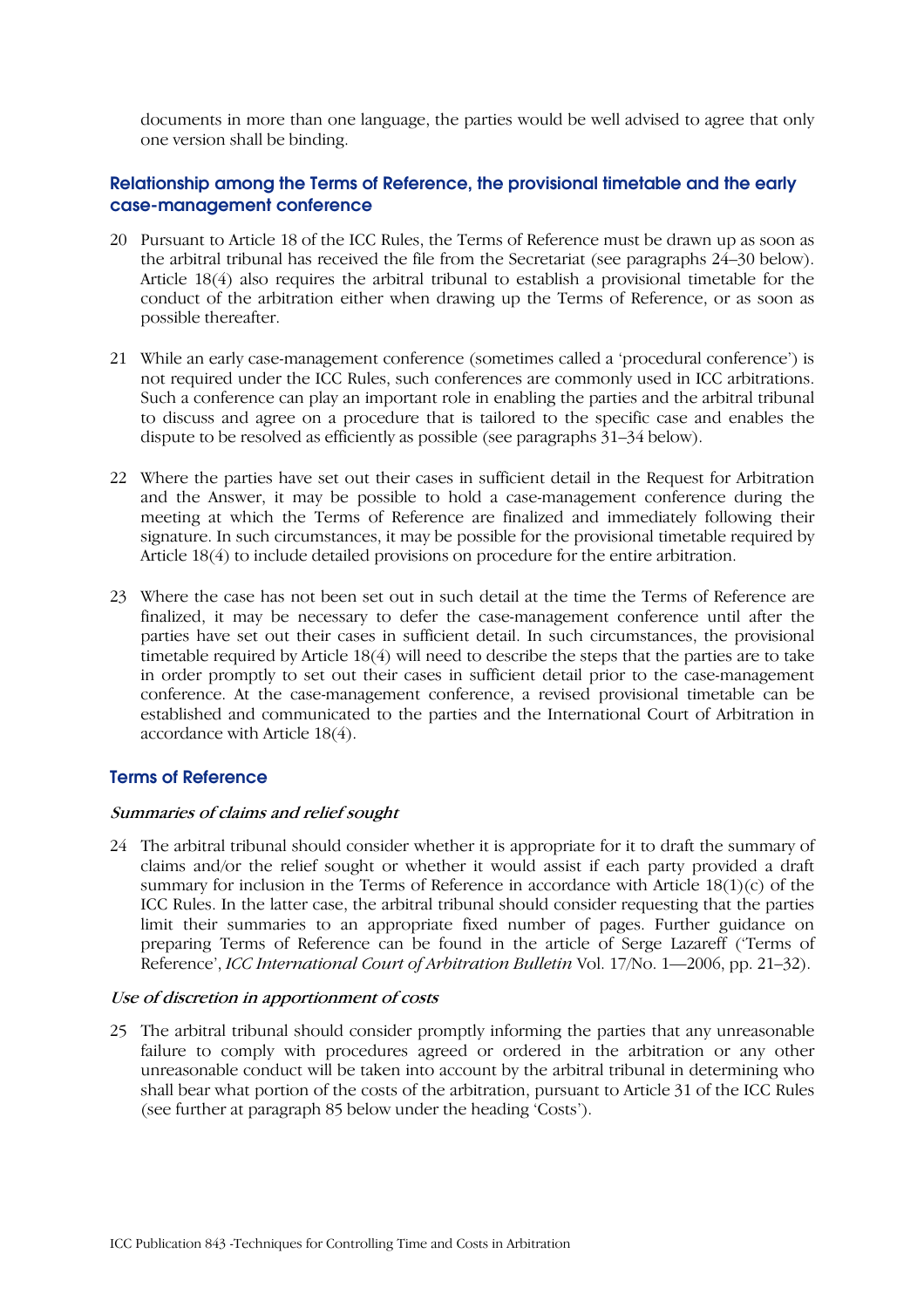documents in more than one language, the parties would be well advised to agree that only one version shall be binding.

## Relationship among the Terms of Reference, the provisional timetable and the early case-management conference

- 20 Pursuant to Article 18 of the ICC Rules, the Terms of Reference must be drawn up as soon as the arbitral tribunal has received the file from the Secretariat (see paragraphs 24–30 below). Article 18(4) also requires the arbitral tribunal to establish a provisional timetable for the conduct of the arbitration either when drawing up the Terms of Reference, or as soon as possible thereafter.
- 21 While an early case-management conference (sometimes called a 'procedural conference') is not required under the ICC Rules, such conferences are commonly used in ICC arbitrations. Such a conference can play an important role in enabling the parties and the arbitral tribunal to discuss and agree on a procedure that is tailored to the specific case and enables the dispute to be resolved as efficiently as possible (see paragraphs 31–34 below).
- 22 Where the parties have set out their cases in sufficient detail in the Request for Arbitration and the Answer, it may be possible to hold a case-management conference during the meeting at which the Terms of Reference are finalized and immediately following their signature. In such circumstances, it may be possible for the provisional timetable required by Article 18(4) to include detailed provisions on procedure for the entire arbitration.
- 23 Where the case has not been set out in such detail at the time the Terms of Reference are finalized, it may be necessary to defer the case-management conference until after the parties have set out their cases in sufficient detail. In such circumstances, the provisional timetable required by Article 18(4) will need to describe the steps that the parties are to take in order promptly to set out their cases in sufficient detail prior to the case-management conference. At the case-management conference, a revised provisional timetable can be established and communicated to the parties and the International Court of Arbitration in accordance with Article 18(4).

## Terms of Reference

#### Summaries of claims and relief sought

24 The arbitral tribunal should consider whether it is appropriate for it to draft the summary of claims and/or the relief sought or whether it would assist if each party provided a draft summary for inclusion in the Terms of Reference in accordance with Article 18(1)(c) of the ICC Rules. In the latter case, the arbitral tribunal should consider requesting that the parties limit their summaries to an appropriate fixed number of pages. Further guidance on preparing Terms of Reference can be found in the article of Serge Lazareff ('Terms of Reference', *ICC International Court of Arbitration Bulletin* Vol. 17/No. 1—2006, pp. 21–32).

## Use of discretion in apportionment of costs

25 The arbitral tribunal should consider promptly informing the parties that any unreasonable failure to comply with procedures agreed or ordered in the arbitration or any other unreasonable conduct will be taken into account by the arbitral tribunal in determining who shall bear what portion of the costs of the arbitration, pursuant to Article 31 of the ICC Rules (see further at paragraph 85 below under the heading 'Costs').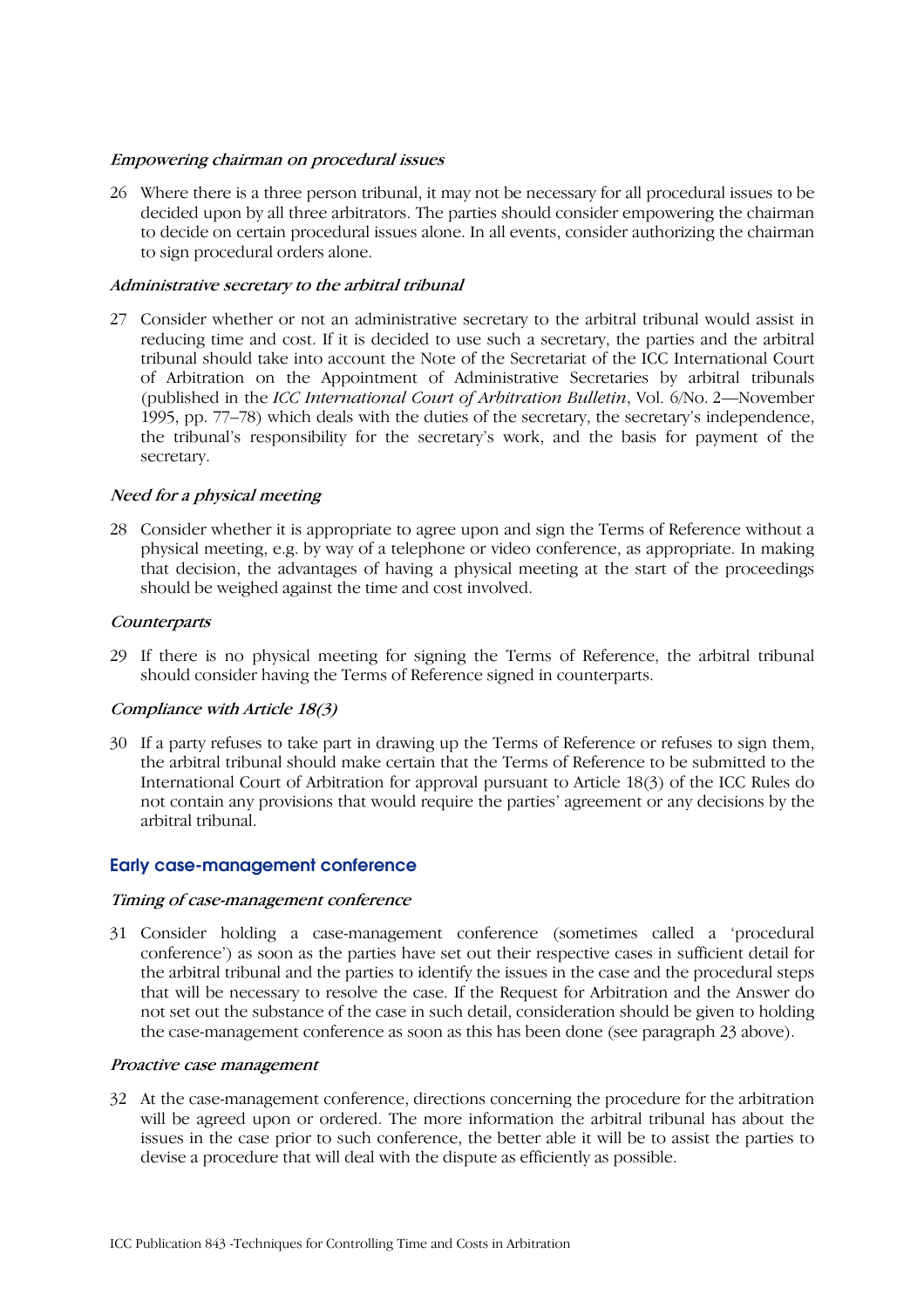#### Empowering chairman on procedural issues

26 Where there is a three person tribunal, it may not be necessary for all procedural issues to be decided upon by all three arbitrators. The parties should consider empowering the chairman to decide on certain procedural issues alone. In all events, consider authorizing the chairman to sign procedural orders alone.

#### Administrative secretary to the arbitral tribunal

27 Consider whether or not an administrative secretary to the arbitral tribunal would assist in reducing time and cost. If it is decided to use such a secretary, the parties and the arbitral tribunal should take into account the Note of the Secretariat of the ICC International Court of Arbitration on the Appointment of Administrative Secretaries by arbitral tribunals (published in the ICC International Court of Arbitration Bulletin, Vol. 6/No. 2—November 1995, pp. 77–78) which deals with the duties of the secretary, the secretary's independence, the tribunal's responsibility for the secretary's work, and the basis for payment of the secretary.

### Need for a physical meeting

28 Consider whether it is appropriate to agree upon and sign the Terms of Reference without a physical meeting, e.g. by way of a telephone or video conference, as appropriate. In making that decision, the advantages of having a physical meeting at the start of the proceedings should be weighed against the time and cost involved.

### Counterparts

29 If there is no physical meeting for signing the Terms of Reference, the arbitral tribunal should consider having the Terms of Reference signed in counterparts.

#### Compliance with Article 18(3)

30 If a party refuses to take part in drawing up the Terms of Reference or refuses to sign them, the arbitral tribunal should make certain that the Terms of Reference to be submitted to the International Court of Arbitration for approval pursuant to Article 18(3) of the ICC Rules do not contain any provisions that would require the parties' agreement or any decisions by the arbitral tribunal.

## Early case-management conference

#### Timing of case-management conference

31 Consider holding a case-management conference (sometimes called a 'procedural conference') as soon as the parties have set out their respective cases in sufficient detail for the arbitral tribunal and the parties to identify the issues in the case and the procedural steps that will be necessary to resolve the case. If the Request for Arbitration and the Answer do not set out the substance of the case in such detail, consideration should be given to holding the case-management conference as soon as this has been done (see paragraph 23 above).

#### Proactive case management

32 At the case-management conference, directions concerning the procedure for the arbitration will be agreed upon or ordered. The more information the arbitral tribunal has about the issues in the case prior to such conference, the better able it will be to assist the parties to devise a procedure that will deal with the dispute as efficiently as possible.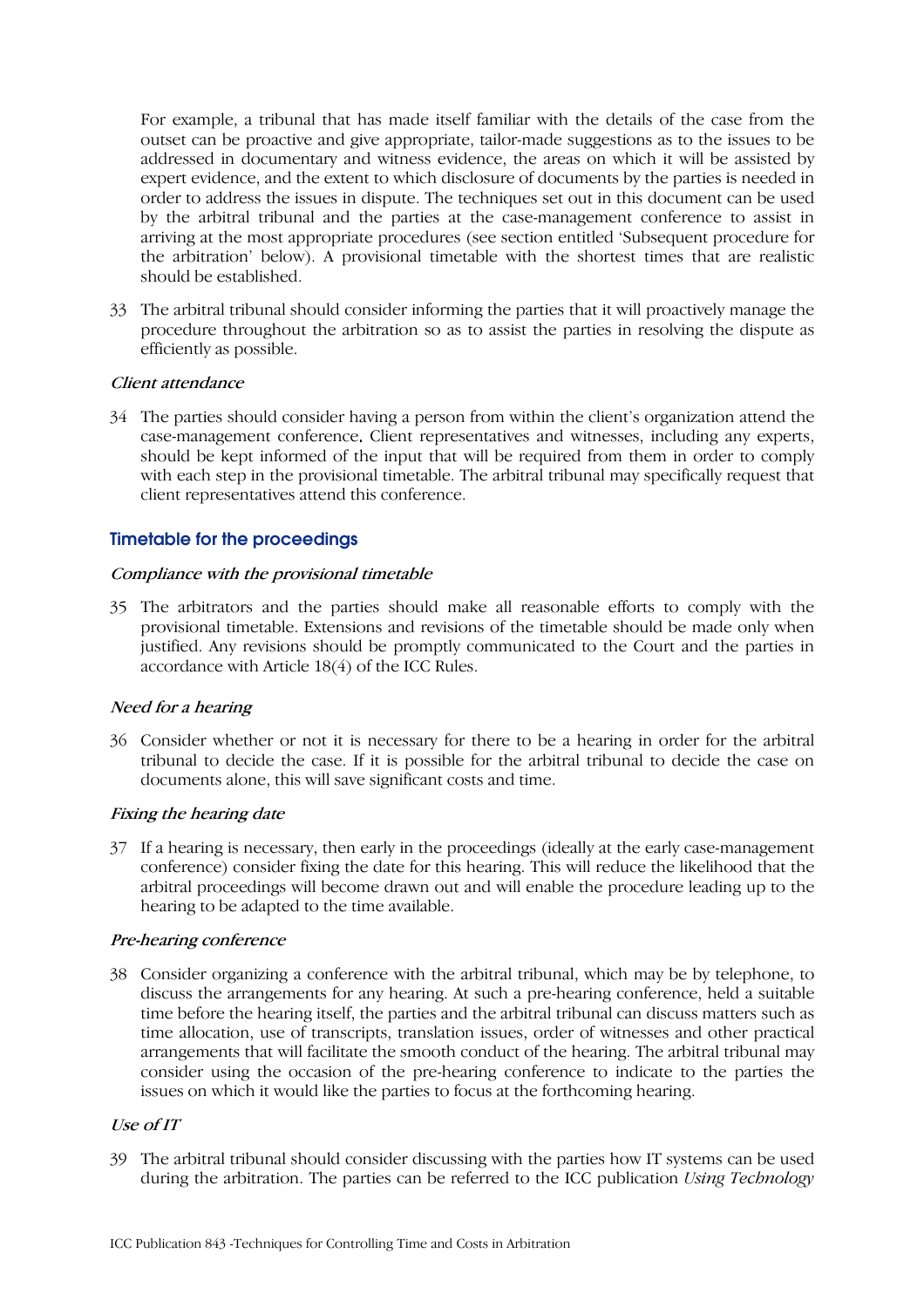For example, a tribunal that has made itself familiar with the details of the case from the outset can be proactive and give appropriate, tailor-made suggestions as to the issues to be addressed in documentary and witness evidence, the areas on which it will be assisted by expert evidence, and the extent to which disclosure of documents by the parties is needed in order to address the issues in dispute. The techniques set out in this document can be used by the arbitral tribunal and the parties at the case-management conference to assist in arriving at the most appropriate procedures (see section entitled 'Subsequent procedure for the arbitration' below). A provisional timetable with the shortest times that are realistic should be established.

33 The arbitral tribunal should consider informing the parties that it will proactively manage the procedure throughout the arbitration so as to assist the parties in resolving the dispute as efficiently as possible.

#### Client attendance

34 The parties should consider having a person from within the client's organization attend the case-management conference. Client representatives and witnesses, including any experts, should be kept informed of the input that will be required from them in order to comply with each step in the provisional timetable. The arbitral tribunal may specifically request that client representatives attend this conference.

### Timetable for the proceedings

#### Compliance with the provisional timetable

35 The arbitrators and the parties should make all reasonable efforts to comply with the provisional timetable. Extensions and revisions of the timetable should be made only when justified. Any revisions should be promptly communicated to the Court and the parties in accordance with Article 18(4) of the ICC Rules.

#### Need for a hearing

36 Consider whether or not it is necessary for there to be a hearing in order for the arbitral tribunal to decide the case. If it is possible for the arbitral tribunal to decide the case on documents alone, this will save significant costs and time.

#### Fixing the hearing date

37 If a hearing is necessary, then early in the proceedings (ideally at the early case-management conference) consider fixing the date for this hearing. This will reduce the likelihood that the arbitral proceedings will become drawn out and will enable the procedure leading up to the hearing to be adapted to the time available.

#### Pre-hearing conference

38 Consider organizing a conference with the arbitral tribunal, which may be by telephone, to discuss the arrangements for any hearing. At such a pre-hearing conference, held a suitable time before the hearing itself, the parties and the arbitral tribunal can discuss matters such as time allocation, use of transcripts, translation issues, order of witnesses and other practical arrangements that will facilitate the smooth conduct of the hearing. The arbitral tribunal may consider using the occasion of the pre-hearing conference to indicate to the parties the issues on which it would like the parties to focus at the forthcoming hearing.

#### Use of IT

39 The arbitral tribunal should consider discussing with the parties how IT systems can be used during the arbitration. The parties can be referred to the ICC publication Using Technology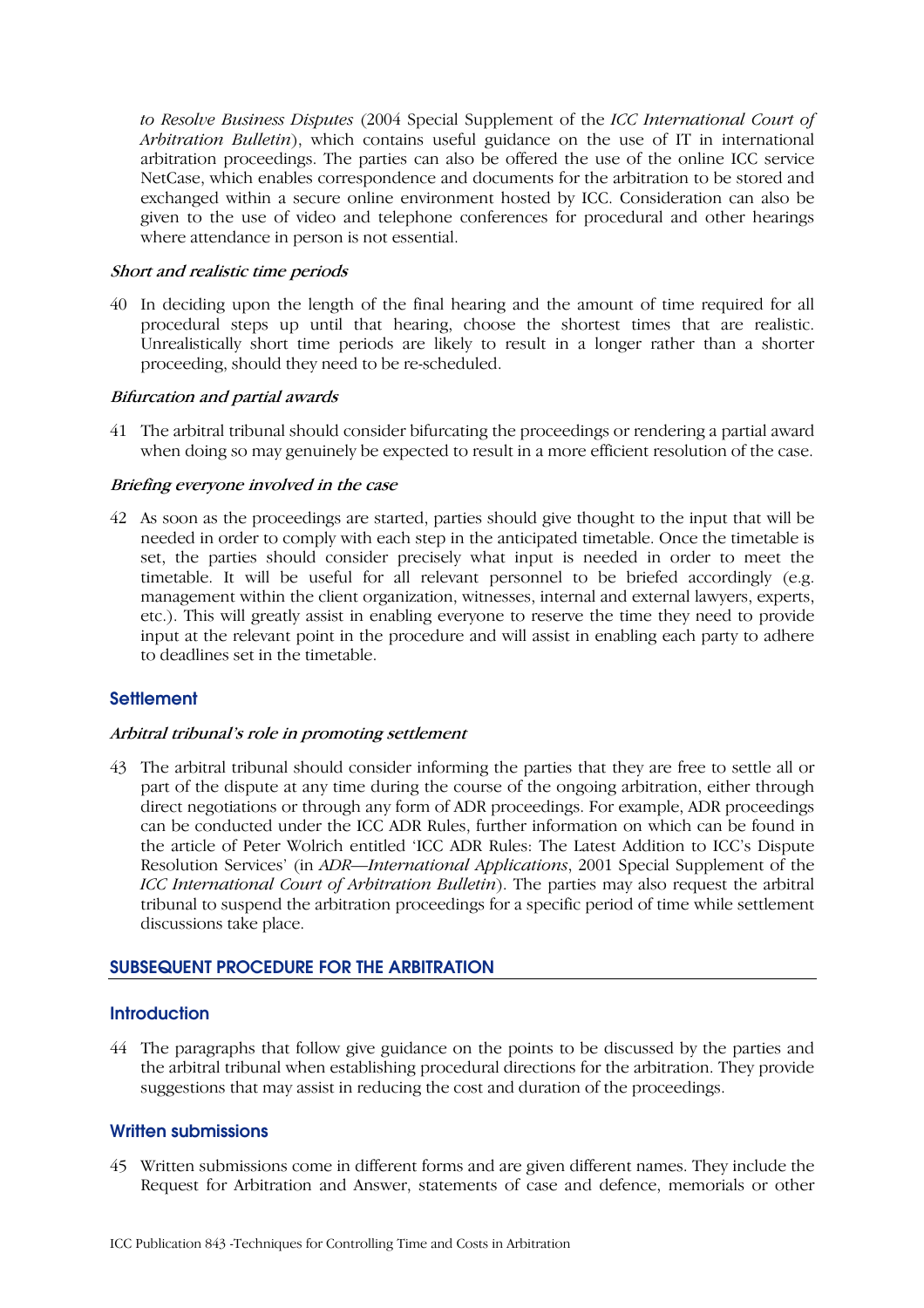to Resolve Business Disputes (2004 Special Supplement of the ICC International Court of Arbitration Bulletin), which contains useful guidance on the use of IT in international arbitration proceedings. The parties can also be offered the use of the online ICC service NetCase, which enables correspondence and documents for the arbitration to be stored and exchanged within a secure online environment hosted by ICC. Consideration can also be given to the use of video and telephone conferences for procedural and other hearings where attendance in person is not essential.

#### Short and realistic time periods

40 In deciding upon the length of the final hearing and the amount of time required for all procedural steps up until that hearing, choose the shortest times that are realistic. Unrealistically short time periods are likely to result in a longer rather than a shorter proceeding, should they need to be re-scheduled.

#### Bifurcation and partial awards

41 The arbitral tribunal should consider bifurcating the proceedings or rendering a partial award when doing so may genuinely be expected to result in a more efficient resolution of the case.

#### Briefing everyone involved in the case

42 As soon as the proceedings are started, parties should give thought to the input that will be needed in order to comply with each step in the anticipated timetable. Once the timetable is set, the parties should consider precisely what input is needed in order to meet the timetable. It will be useful for all relevant personnel to be briefed accordingly (e.g. management within the client organization, witnesses, internal and external lawyers, experts, etc.). This will greatly assist in enabling everyone to reserve the time they need to provide input at the relevant point in the procedure and will assist in enabling each party to adhere to deadlines set in the timetable.

#### **Settlement**

#### Arbitral tribunal's role in promoting settlement

43 The arbitral tribunal should consider informing the parties that they are free to settle all or part of the dispute at any time during the course of the ongoing arbitration, either through direct negotiations or through any form of ADR proceedings. For example, ADR proceedings can be conducted under the ICC ADR Rules, further information on which can be found in the article of Peter Wolrich entitled 'ICC ADR Rules: The Latest Addition to ICC's Dispute Resolution Services' (in ADR—International Applications, 2001 Special Supplement of the ICC International Court of Arbitration Bulletin). The parties may also request the arbitral tribunal to suspend the arbitration proceedings for a specific period of time while settlement discussions take place.

#### SUBSEQUENT PROCEDURE FOR THE ARBITRATION

#### **Introduction**

44 The paragraphs that follow give guidance on the points to be discussed by the parties and the arbitral tribunal when establishing procedural directions for the arbitration. They provide suggestions that may assist in reducing the cost and duration of the proceedings.

#### Written submissions

45 Written submissions come in different forms and are given different names. They include the Request for Arbitration and Answer, statements of case and defence, memorials or other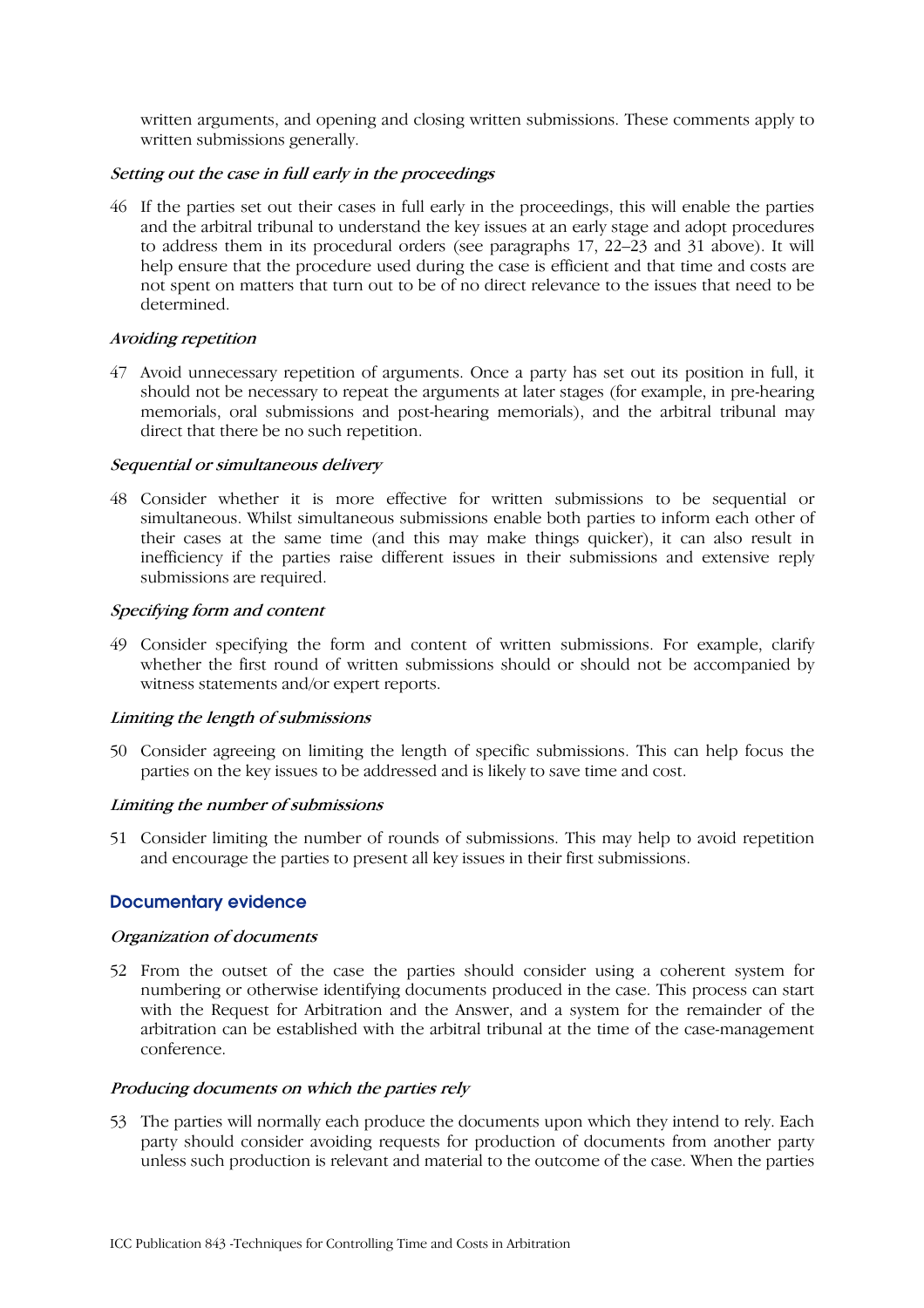written arguments, and opening and closing written submissions. These comments apply to written submissions generally.

#### Setting out the case in full early in the proceedings

46 If the parties set out their cases in full early in the proceedings, this will enable the parties and the arbitral tribunal to understand the key issues at an early stage and adopt procedures to address them in its procedural orders (see paragraphs 17, 22–23 and 31 above). It will help ensure that the procedure used during the case is efficient and that time and costs are not spent on matters that turn out to be of no direct relevance to the issues that need to be determined.

#### Avoiding repetition

47 Avoid unnecessary repetition of arguments. Once a party has set out its position in full, it should not be necessary to repeat the arguments at later stages (for example, in pre-hearing memorials, oral submissions and post-hearing memorials), and the arbitral tribunal may direct that there be no such repetition.

#### Sequential or simultaneous delivery

48 Consider whether it is more effective for written submissions to be sequential or simultaneous. Whilst simultaneous submissions enable both parties to inform each other of their cases at the same time (and this may make things quicker), it can also result in inefficiency if the parties raise different issues in their submissions and extensive reply submissions are required.

#### Specifying form and content

49 Consider specifying the form and content of written submissions. For example, clarify whether the first round of written submissions should or should not be accompanied by witness statements and/or expert reports.

#### Limiting the length of submissions

50 Consider agreeing on limiting the length of specific submissions. This can help focus the parties on the key issues to be addressed and is likely to save time and cost.

#### Limiting the number of submissions

51 Consider limiting the number of rounds of submissions. This may help to avoid repetition and encourage the parties to present all key issues in their first submissions.

#### Documentary evidence

#### Organization of documents

52 From the outset of the case the parties should consider using a coherent system for numbering or otherwise identifying documents produced in the case. This process can start with the Request for Arbitration and the Answer, and a system for the remainder of the arbitration can be established with the arbitral tribunal at the time of the case-management conference.

#### Producing documents on which the parties rely

53 The parties will normally each produce the documents upon which they intend to rely. Each party should consider avoiding requests for production of documents from another party unless such production is relevant and material to the outcome of the case. When the parties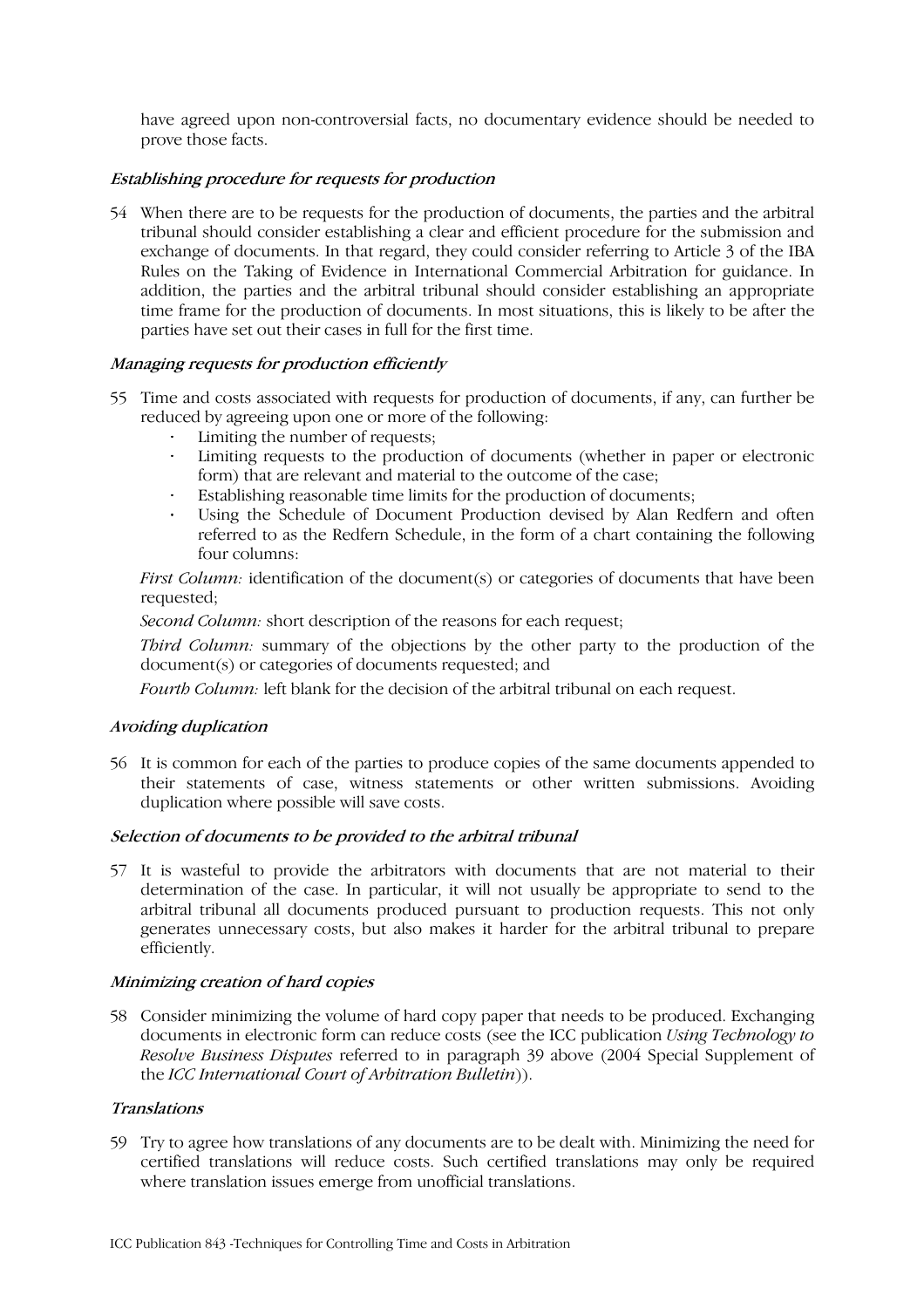have agreed upon non-controversial facts, no documentary evidence should be needed to prove those facts.

### Establishing procedure for requests for production

54 When there are to be requests for the production of documents, the parties and the arbitral tribunal should consider establishing a clear and efficient procedure for the submission and exchange of documents. In that regard, they could consider referring to Article 3 of the IBA Rules on the Taking of Evidence in International Commercial Arbitration for guidance. In addition, the parties and the arbitral tribunal should consider establishing an appropriate time frame for the production of documents. In most situations, this is likely to be after the parties have set out their cases in full for the first time.

#### Managing requests for production efficiently

- 55 Time and costs associated with requests for production of documents, if any, can further be reduced by agreeing upon one or more of the following:
	- Limiting the number of requests;<br>• I limiting requests to the product
	- Limiting requests to the production of documents (whether in paper or electronic form) that are relevant and material to the outcome of the case;
	- Establishing reasonable time limits for the production of documents;
	- Using the Schedule of Document Production devised by Alan Redfern and often referred to as the Redfern Schedule, in the form of a chart containing the following four columns:

First Column: identification of the document(s) or categories of documents that have been requested;

Second Column: short description of the reasons for each request;

 Third Column: summary of the objections by the other party to the production of the document(s) or categories of documents requested; and

Fourth Column: left blank for the decision of the arbitral tribunal on each request.

#### Avoiding duplication

56 It is common for each of the parties to produce copies of the same documents appended to their statements of case, witness statements or other written submissions. Avoiding duplication where possible will save costs.

#### Selection of documents to be provided to the arbitral tribunal

57 It is wasteful to provide the arbitrators with documents that are not material to their determination of the case. In particular, it will not usually be appropriate to send to the arbitral tribunal all documents produced pursuant to production requests. This not only generates unnecessary costs, but also makes it harder for the arbitral tribunal to prepare efficiently.

#### Minimizing creation of hard copies

58 Consider minimizing the volume of hard copy paper that needs to be produced. Exchanging documents in electronic form can reduce costs (see the ICC publication Using Technology to Resolve Business Disputes referred to in paragraph 39 above (2004 Special Supplement of the ICC International Court of Arbitration Bulletin)).

#### Translations

59 Try to agree how translations of any documents are to be dealt with. Minimizing the need for certified translations will reduce costs. Such certified translations may only be required where translation issues emerge from unofficial translations.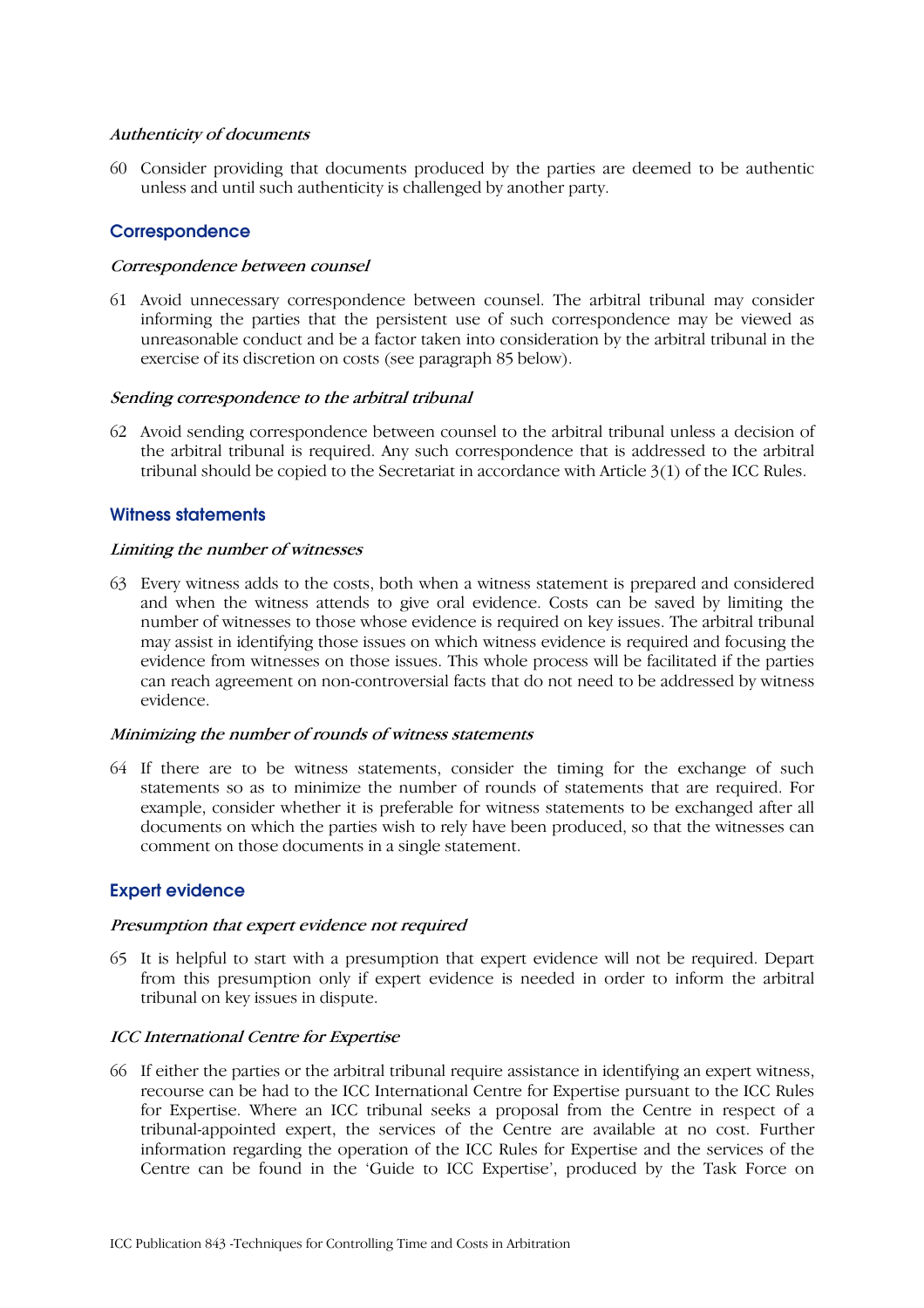#### Authenticity of documents

60 Consider providing that documents produced by the parties are deemed to be authentic unless and until such authenticity is challenged by another party.

### **Correspondence**

#### Correspondence between counsel

61 Avoid unnecessary correspondence between counsel. The arbitral tribunal may consider informing the parties that the persistent use of such correspondence may be viewed as unreasonable conduct and be a factor taken into consideration by the arbitral tribunal in the exercise of its discretion on costs (see paragraph 85 below).

#### Sending correspondence to the arbitral tribunal

62 Avoid sending correspondence between counsel to the arbitral tribunal unless a decision of the arbitral tribunal is required. Any such correspondence that is addressed to the arbitral tribunal should be copied to the Secretariat in accordance with Article 3(1) of the ICC Rules.

#### Witness statements

#### Limiting the number of witnesses

63 Every witness adds to the costs, both when a witness statement is prepared and considered and when the witness attends to give oral evidence. Costs can be saved by limiting the number of witnesses to those whose evidence is required on key issues. The arbitral tribunal may assist in identifying those issues on which witness evidence is required and focusing the evidence from witnesses on those issues. This whole process will be facilitated if the parties can reach agreement on non-controversial facts that do not need to be addressed by witness evidence.

#### Minimizing the number of rounds of witness statements

64 If there are to be witness statements, consider the timing for the exchange of such statements so as to minimize the number of rounds of statements that are required. For example, consider whether it is preferable for witness statements to be exchanged after all documents on which the parties wish to rely have been produced, so that the witnesses can comment on those documents in a single statement.

## Expert evidence

#### Presumption that expert evidence not required

65 It is helpful to start with a presumption that expert evidence will not be required. Depart from this presumption only if expert evidence is needed in order to inform the arbitral tribunal on key issues in dispute.

#### ICC International Centre for Expertise

66 If either the parties or the arbitral tribunal require assistance in identifying an expert witness, recourse can be had to the ICC International Centre for Expertise pursuant to the ICC Rules for Expertise. Where an ICC tribunal seeks a proposal from the Centre in respect of a tribunal-appointed expert, the services of the Centre are available at no cost. Further information regarding the operation of the ICC Rules for Expertise and the services of the Centre can be found in the 'Guide to ICC Expertise', produced by the Task Force on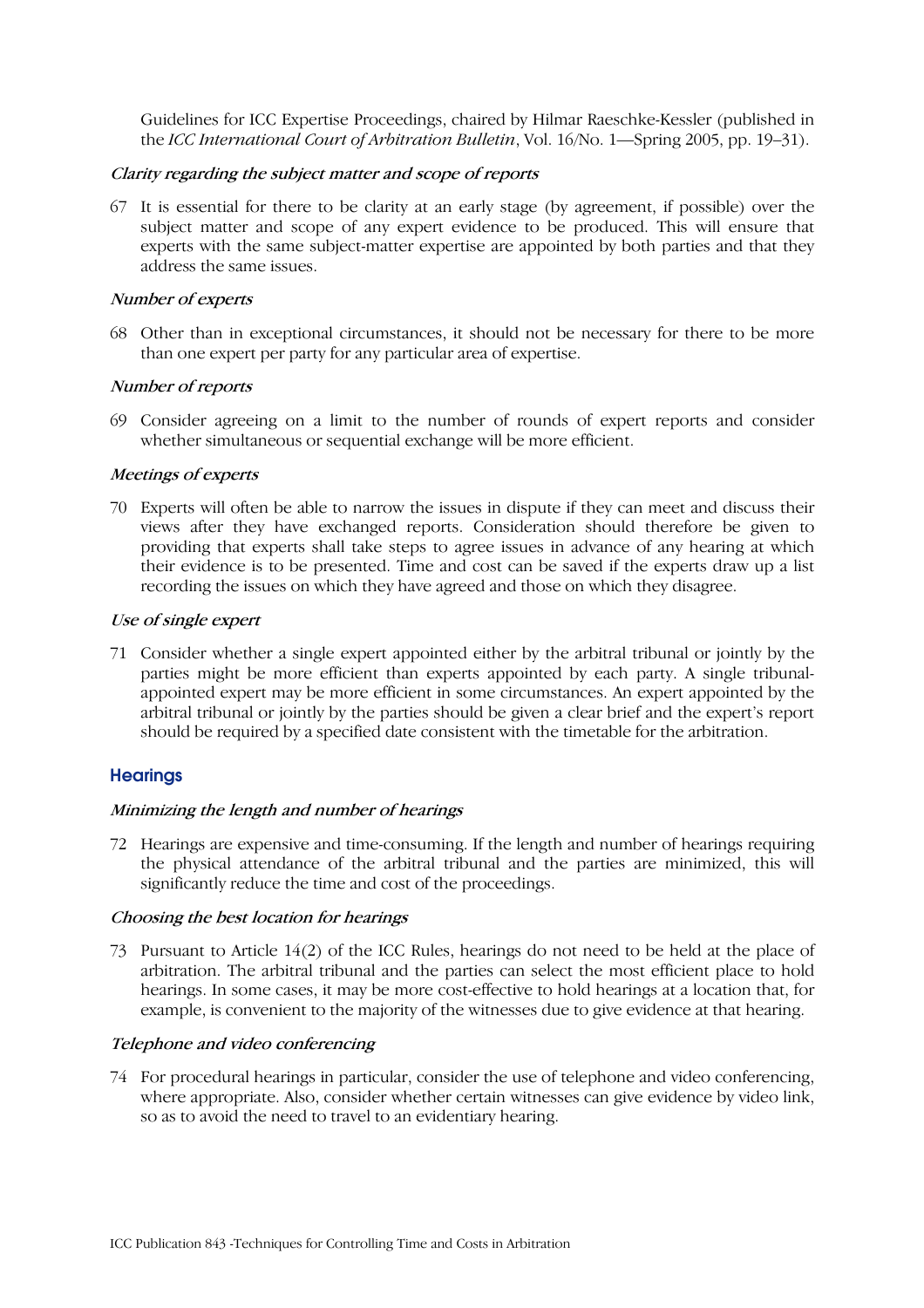Guidelines for ICC Expertise Proceedings, chaired by Hilmar Raeschke-Kessler (published in the ICC International Court of Arbitration Bulletin, Vol. 16/No. 1—Spring 2005, pp. 19–31).

#### Clarity regarding the subject matter and scope of reports

67 It is essential for there to be clarity at an early stage (by agreement, if possible) over the subject matter and scope of any expert evidence to be produced. This will ensure that experts with the same subject-matter expertise are appointed by both parties and that they address the same issues.

#### Number of experts

68 Other than in exceptional circumstances, it should not be necessary for there to be more than one expert per party for any particular area of expertise.

#### Number of reports

69 Consider agreeing on a limit to the number of rounds of expert reports and consider whether simultaneous or sequential exchange will be more efficient.

#### Meetings of experts

70 Experts will often be able to narrow the issues in dispute if they can meet and discuss their views after they have exchanged reports. Consideration should therefore be given to providing that experts shall take steps to agree issues in advance of any hearing at which their evidence is to be presented. Time and cost can be saved if the experts draw up a list recording the issues on which they have agreed and those on which they disagree.

#### Use of single expert

71 Consider whether a single expert appointed either by the arbitral tribunal or jointly by the parties might be more efficient than experts appointed by each party. A single tribunalappointed expert may be more efficient in some circumstances. An expert appointed by the arbitral tribunal or jointly by the parties should be given a clear brief and the expert's report should be required by a specified date consistent with the timetable for the arbitration.

## **Hearings**

#### Minimizing the length and number of hearings

72 Hearings are expensive and time-consuming. If the length and number of hearings requiring the physical attendance of the arbitral tribunal and the parties are minimized, this will significantly reduce the time and cost of the proceedings.

#### Choosing the best location for hearings

73 Pursuant to Article 14(2) of the ICC Rules, hearings do not need to be held at the place of arbitration. The arbitral tribunal and the parties can select the most efficient place to hold hearings. In some cases, it may be more cost-effective to hold hearings at a location that, for example, is convenient to the majority of the witnesses due to give evidence at that hearing.

#### Telephone and video conferencing

74 For procedural hearings in particular, consider the use of telephone and video conferencing, where appropriate. Also, consider whether certain witnesses can give evidence by video link, so as to avoid the need to travel to an evidentiary hearing.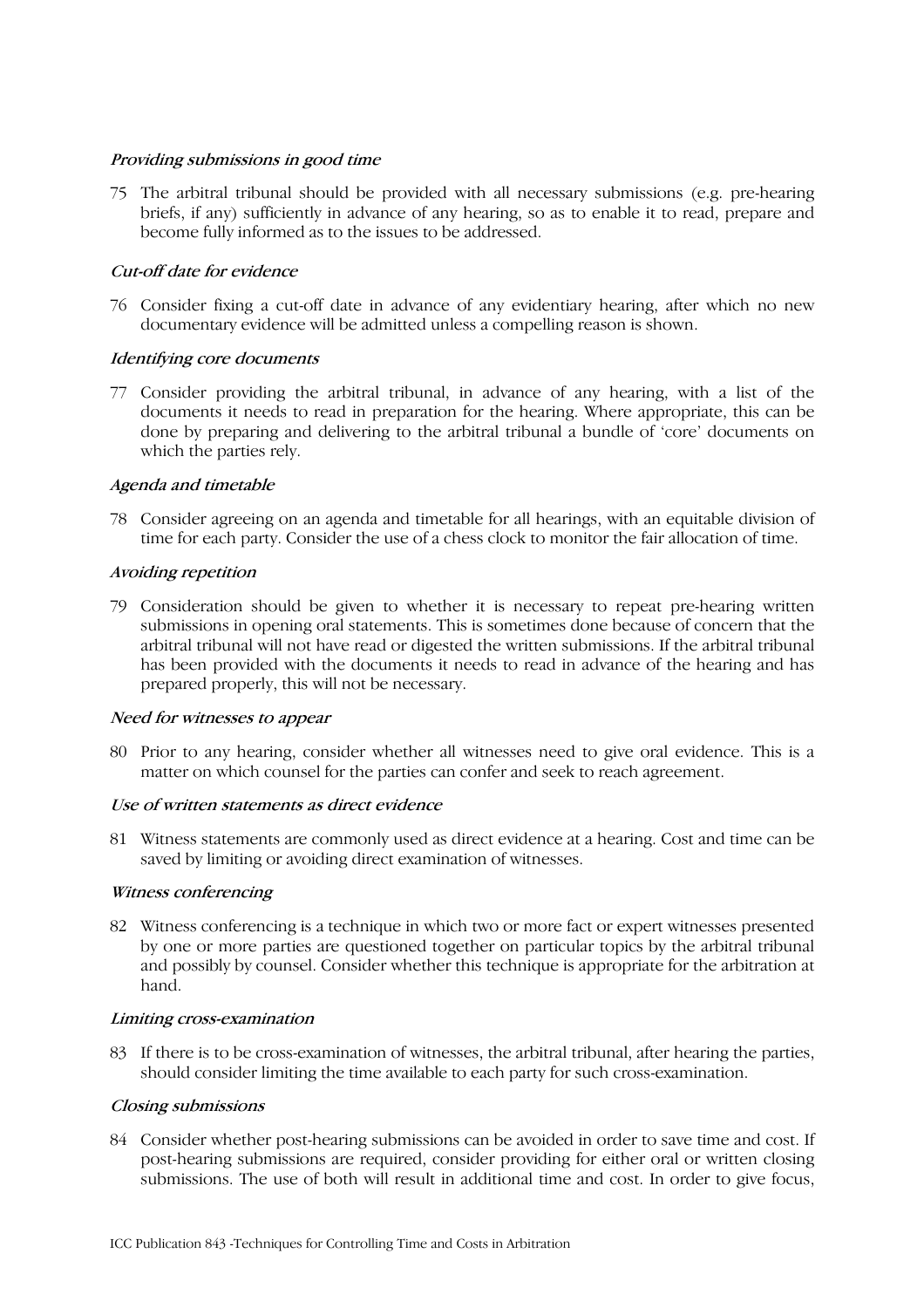#### Providing submissions in good time

75 The arbitral tribunal should be provided with all necessary submissions (e.g. pre-hearing briefs, if any) sufficiently in advance of any hearing, so as to enable it to read, prepare and become fully informed as to the issues to be addressed.

#### Cut-off date for evidence

76 Consider fixing a cut-off date in advance of any evidentiary hearing, after which no new documentary evidence will be admitted unless a compelling reason is shown.

#### Identifying core documents

77 Consider providing the arbitral tribunal, in advance of any hearing, with a list of the documents it needs to read in preparation for the hearing. Where appropriate, this can be done by preparing and delivering to the arbitral tribunal a bundle of 'core' documents on which the parties rely.

#### Agenda and timetable

78 Consider agreeing on an agenda and timetable for all hearings, with an equitable division of time for each party. Consider the use of a chess clock to monitor the fair allocation of time.

#### Avoiding repetition

79 Consideration should be given to whether it is necessary to repeat pre-hearing written submissions in opening oral statements. This is sometimes done because of concern that the arbitral tribunal will not have read or digested the written submissions. If the arbitral tribunal has been provided with the documents it needs to read in advance of the hearing and has prepared properly, this will not be necessary.

#### Need for witnesses to appear

80 Prior to any hearing, consider whether all witnesses need to give oral evidence. This is a matter on which counsel for the parties can confer and seek to reach agreement.

#### Use of written statements as direct evidence

81 Witness statements are commonly used as direct evidence at a hearing. Cost and time can be saved by limiting or avoiding direct examination of witnesses.

#### Witness conferencing

82 Witness conferencing is a technique in which two or more fact or expert witnesses presented by one or more parties are questioned together on particular topics by the arbitral tribunal and possibly by counsel. Consider whether this technique is appropriate for the arbitration at hand.

#### Limiting cross-examination

83 If there is to be cross-examination of witnesses, the arbitral tribunal, after hearing the parties, should consider limiting the time available to each party for such cross-examination.

#### Closing submissions

84 Consider whether post-hearing submissions can be avoided in order to save time and cost. If post-hearing submissions are required, consider providing for either oral or written closing submissions. The use of both will result in additional time and cost. In order to give focus,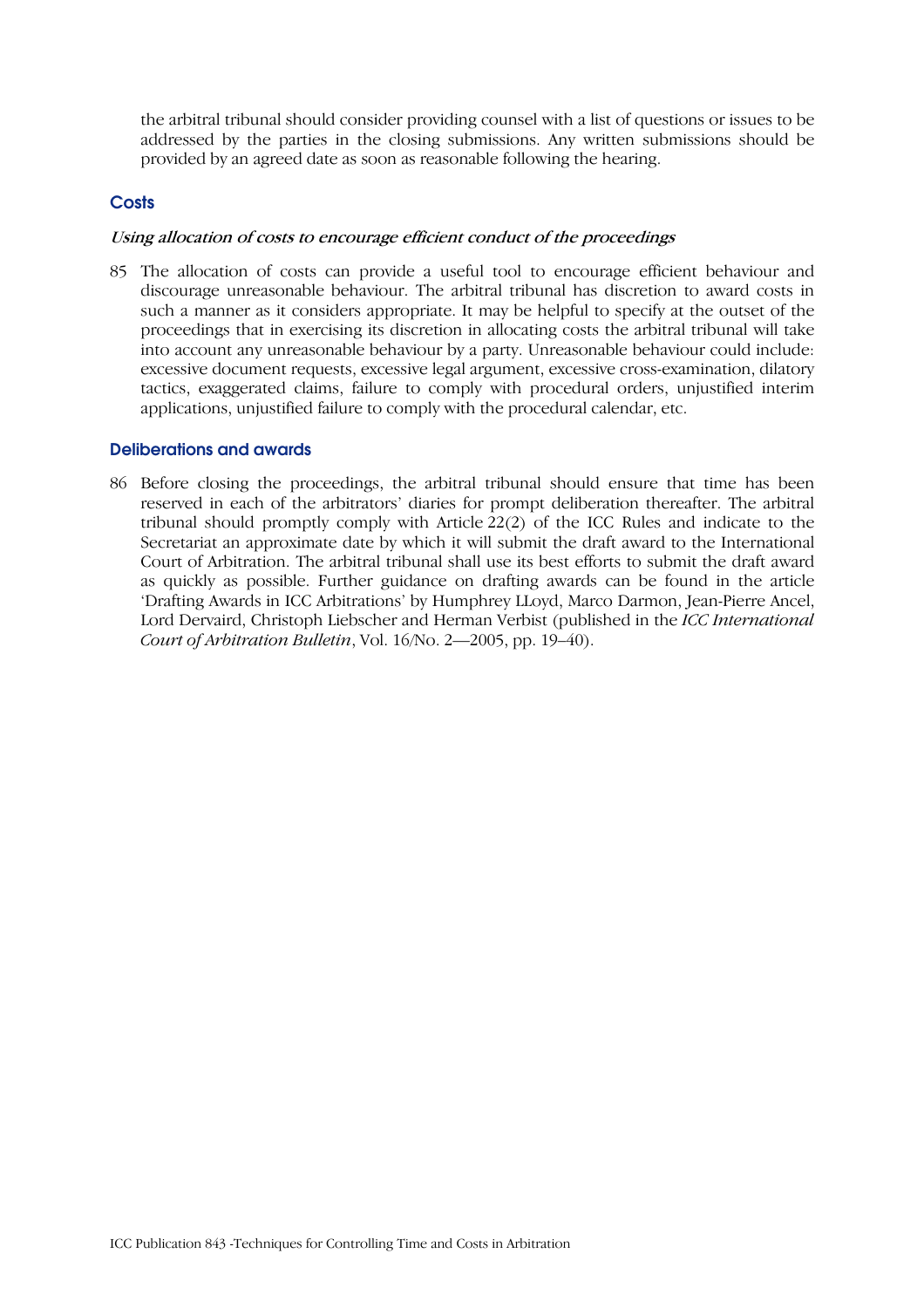the arbitral tribunal should consider providing counsel with a list of questions or issues to be addressed by the parties in the closing submissions. Any written submissions should be provided by an agreed date as soon as reasonable following the hearing.

## **Costs**

#### Using allocation of costs to encourage efficient conduct of the proceedings

85 The allocation of costs can provide a useful tool to encourage efficient behaviour and discourage unreasonable behaviour. The arbitral tribunal has discretion to award costs in such a manner as it considers appropriate. It may be helpful to specify at the outset of the proceedings that in exercising its discretion in allocating costs the arbitral tribunal will take into account any unreasonable behaviour by a party. Unreasonable behaviour could include: excessive document requests, excessive legal argument, excessive cross-examination, dilatory tactics, exaggerated claims, failure to comply with procedural orders, unjustified interim applications, unjustified failure to comply with the procedural calendar, etc.

#### Deliberations and awards

86 Before closing the proceedings, the arbitral tribunal should ensure that time has been reserved in each of the arbitrators' diaries for prompt deliberation thereafter. The arbitral tribunal should promptly comply with Article 22(2) of the ICC Rules and indicate to the Secretariat an approximate date by which it will submit the draft award to the International Court of Arbitration. The arbitral tribunal shall use its best efforts to submit the draft award as quickly as possible. Further guidance on drafting awards can be found in the article 'Drafting Awards in ICC Arbitrations' by Humphrey LLoyd, Marco Darmon, Jean-Pierre Ancel, Lord Dervaird, Christoph Liebscher and Herman Verbist (published in the ICC International Court of Arbitration Bulletin, Vol. 16/No. 2—2005, pp. 19–40).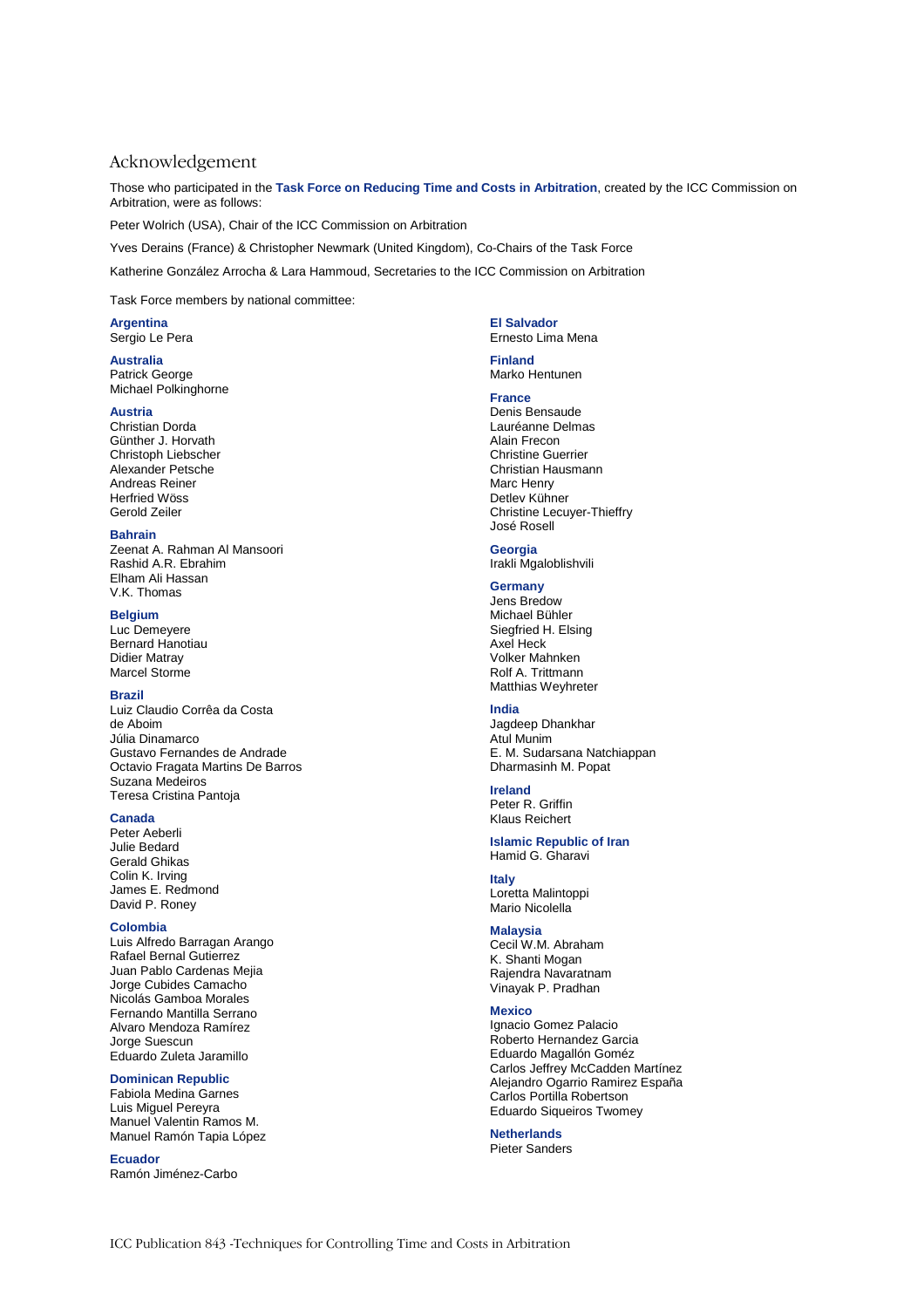#### Acknowledgement

Those who participated in the **Task Force on Reducing Time and Costs in Arbitration**, created by the ICC Commission on Arbitration, were as follows:

Peter Wolrich (USA), Chair of the ICC Commission on Arbitration

Yves Derains (France) & Christopher Newmark (United Kingdom), Co-Chairs of the Task Force

Katherine González Arrocha & Lara Hammoud, Secretaries to the ICC Commission on Arbitration

Task Force members by national committee:

#### **Argentina** Sergio Le Pera

**Australia**

Patrick George Michael Polkinghorne

#### **Austria**

Christian Dorda Günther J. Horvath Christoph Liebscher Alexander Petsche Andreas Reiner Herfried Wöss Gerold Zeiler

#### **Bahrain**

Zeenat A. Rahman Al Mansoori Rashid A.R. Ebrahim Elham Ali Hassan V.K. Thomas

#### **Belgium**

Luc Demeyere Bernard Hanotiau Didier Matray Marcel Storme

#### **Brazil**

Luiz Claudio Corrêa da Costa de Aboim Júlia Dinamarco Gustavo Fernandes de Andrade Octavio Fragata Martins De Barros Suzana Medeiros Teresa Cristina Pantoja

#### **Canada**

Peter Aeberli Julie Bedard Gerald Ghikas Colin K. Irving James E. Redmond David P. Roney

#### **Colombia**

Luis Alfredo Barragan Arango Rafael Bernal Gutierrez Juan Pablo Cardenas Mejia Jorge Cubides Camacho Nicolás Gamboa Morales Fernando Mantilla Serrano Alvaro Mendoza Ramírez Jorge Suescun Eduardo Zuleta Jaramillo

#### **Dominican Republic**

Fabiola Medina Garnes Luis Miguel Pereyra Manuel Valentin Ramos M. Manuel Ramón Tapia López

**Ecuador** Ramón Jiménez-Carbo

#### **El Salvador**

Ernesto Lima Mena **Finland**

## Marko Hentunen

**France**

Denis Bensaude Lauréanne Delmas Alain Frecon Christine Guerrier Christian Hausmann Marc Henry Detlev Kühner Christine Lecuyer-Thieffry José Rosell

**Georgia** Irakli Mgaloblishvili

#### **Germany**

Jens Bredow Michael Bühler Siegfried H. Elsing Axel Heck Volker Mahnken Rolf A. Trittmann Matthias Weyhreter

#### **India**

Jagdeep Dhankhar Atul Munim E. M. Sudarsana Natchiappan Dharmasinh M. Popat

#### **Ireland**

Peter R. Griffin Klaus Reichert

#### **Islamic Republic of Iran** Hamid G. Gharavi

**Italy** Loretta Malintoppi Mario Nicolella

#### **Malaysia**

Cecil W.M. Abraham K. Shanti Mogan Rajendra Navaratnam Vinayak P. Pradhan

#### **Mexico**

Ignacio Gomez Palacio Roberto Hernandez Garcia Eduardo Magallón Goméz Carlos Jeffrey McCadden Martínez Alejandro Ogarrio Ramirez España Carlos Portilla Robertson Eduardo Siqueiros Twomey

#### **Netherlands**

Pieter Sanders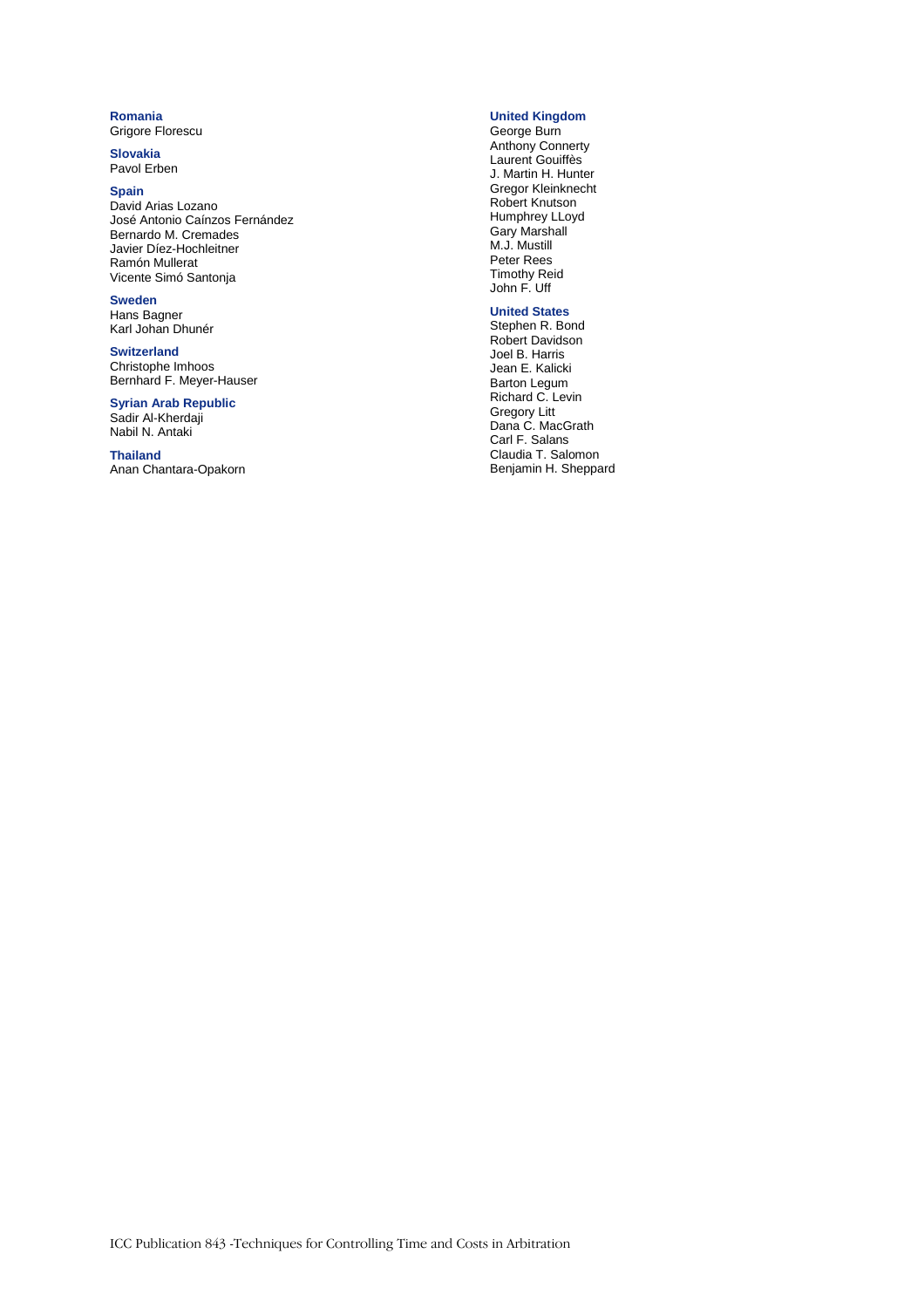#### **Romania** Grigore Florescu

**Slovakia** Pavol Erben

#### **Spain**

David Arias Lozano José Antonio Caínzos Fernández Bernardo M. Cremades Javier Díez-Hochleitner Ramón Mullerat Vicente Simó Santonja

**Sweden** Hans Bagner Karl Johan Dhunér

#### **Switzerland** Christophe Imhoos Bernhard F. Meyer-Hauser

**Syrian Arab Republic** Sadir Al-Kherdaji Nabil N. Antaki

#### **Thailand**

Anan Chantara-Opakorn

#### **United Kingdom**

George Burn Anthony Connerty Laurent Gouiffès J. Martin H. Hunter Gregor Kleinknecht Robert Knutson Humphrey LLoyd Gary Marshall M.J. Mustill Peter Rees Timothy Reid John F. Uff

#### **United States**

Stephen R. Bond Robert Davidson Joel B. Harris Jean E. Kalicki Barton Legum Richard C. Levin Gregory Litt Dana C. MacGrath Carl F. Salans Claudia T. Salomon Benjamin H. Sheppard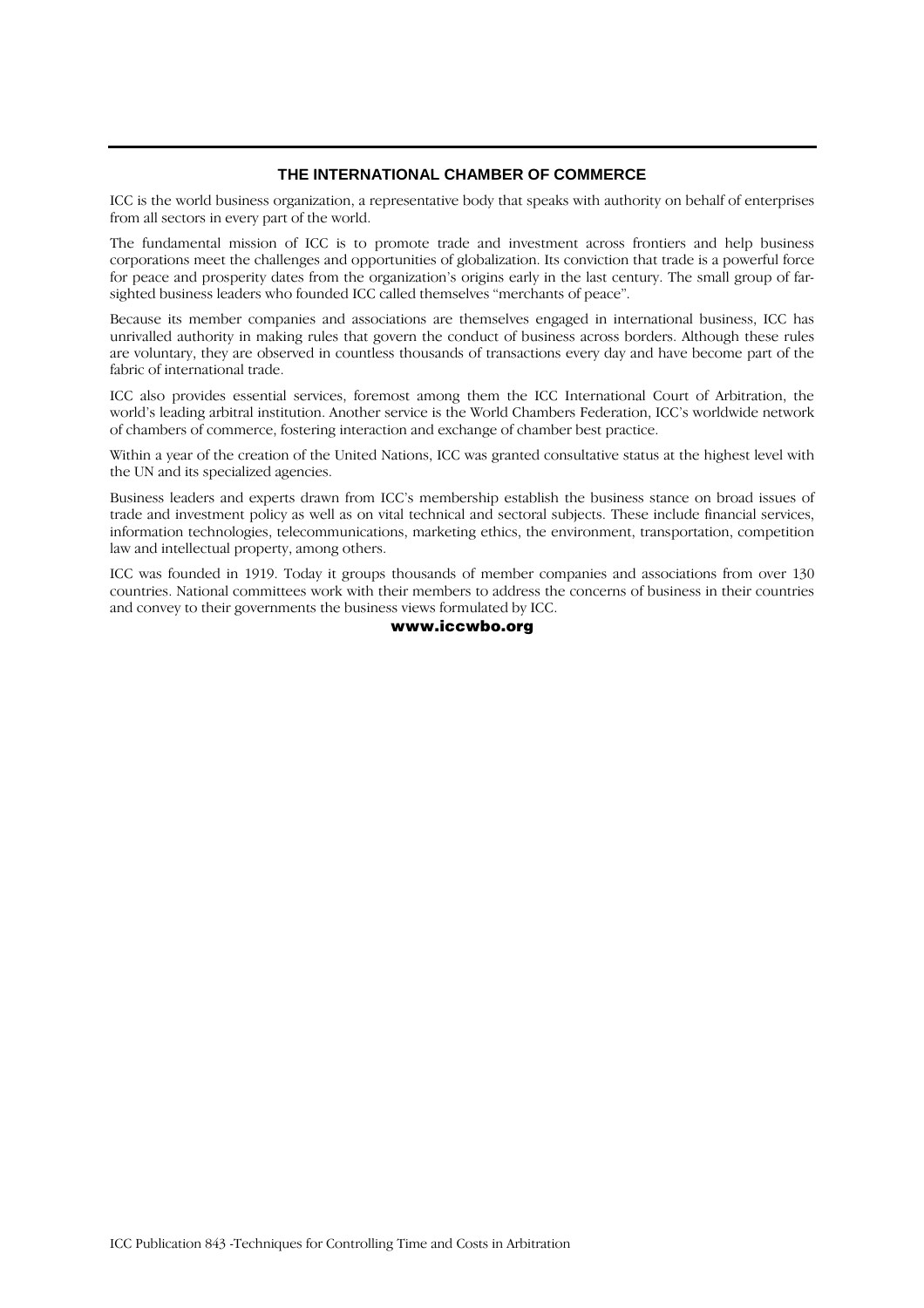#### **THE INTERNATIONAL CHAMBER OF COMMERCE**

ICC is the world business organization, a representative body that speaks with authority on behalf of enterprises from all sectors in every part of the world.

The fundamental mission of ICC is to promote trade and investment across frontiers and help business corporations meet the challenges and opportunities of globalization. Its conviction that trade is a powerful force for peace and prosperity dates from the organization's origins early in the last century. The small group of farsighted business leaders who founded ICC called themselves "merchants of peace".

Because its member companies and associations are themselves engaged in international business, ICC has unrivalled authority in making rules that govern the conduct of business across borders. Although these rules are voluntary, they are observed in countless thousands of transactions every day and have become part of the fabric of international trade.

ICC also provides essential services, foremost among them the ICC International Court of Arbitration, the world's leading arbitral institution. Another service is the World Chambers Federation, ICC's worldwide network of chambers of commerce, fostering interaction and exchange of chamber best practice.

Within a year of the creation of the United Nations, ICC was granted consultative status at the highest level with the UN and its specialized agencies.

Business leaders and experts drawn from ICC's membership establish the business stance on broad issues of trade and investment policy as well as on vital technical and sectoral subjects. These include financial services, information technologies, telecommunications, marketing ethics, the environment, transportation, competition law and intellectual property, among others.

ICC was founded in 1919. Today it groups thousands of member companies and associations from over 130 countries. National committees work with their members to address the concerns of business in their countries and convey to their governments the business views formulated by ICC.

#### www.iccwbo.org